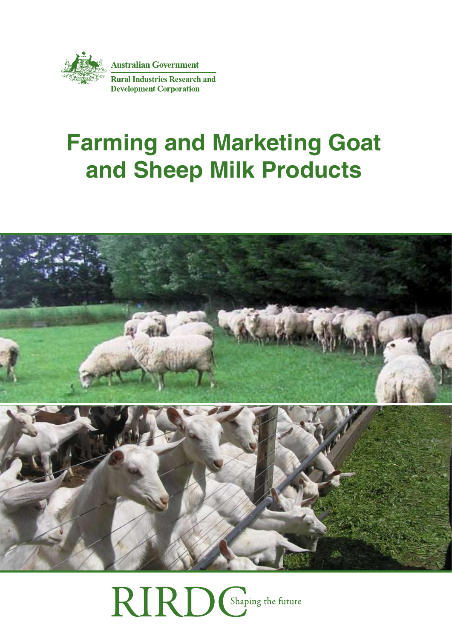

# **Farming and Marketing Goat and Sheep Milk Products**



RIRD Chaping the future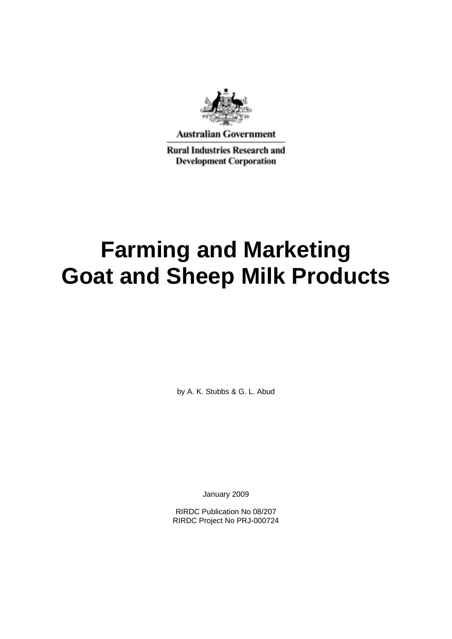

**Australian Government** 

**Rural Industries Research and Development Corporation** 

# **Farming and Marketing Goat and Sheep Milk Products**

by A. K. Stubbs & G. L. Abud

January 2009

RIRDC Publication No 08/207 RIRDC Project No PRJ-000724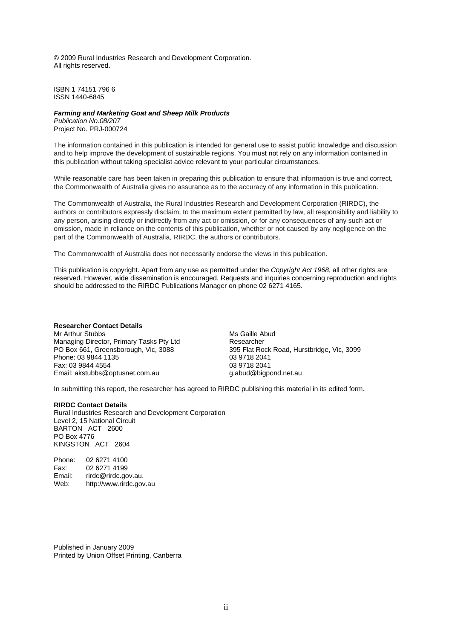© 2009 Rural Industries Research and Development Corporation. All rights reserved.

ISBN 1 74151 796 6 ISSN 1440-6845

#### *Farming and Marketing Goat and Sheep Milk Products*

*Publication No.08/207*  Project No. PRJ-000724

The information contained in this publication is intended for general use to assist public knowledge and discussion and to help improve the development of sustainable regions. You must not rely on any information contained in this publication without taking specialist advice relevant to your particular circumstances.

While reasonable care has been taken in preparing this publication to ensure that information is true and correct, the Commonwealth of Australia gives no assurance as to the accuracy of any information in this publication.

The Commonwealth of Australia, the Rural Industries Research and Development Corporation (RIRDC), the authors or contributors expressly disclaim, to the maximum extent permitted by law, all responsibility and liability to any person, arising directly or indirectly from any act or omission, or for any consequences of any such act or omission, made in reliance on the contents of this publication, whether or not caused by any negligence on the part of the Commonwealth of Australia, RIRDC, the authors or contributors.

The Commonwealth of Australia does not necessarily endorse the views in this publication.

This publication is copyright. Apart from any use as permitted under the *Copyright Act 1968*, all other rights are reserved. However, wide dissemination is encouraged. Requests and inquiries concerning reproduction and rights should be addressed to the RIRDC Publications Manager on phone 02 6271 4165.

#### **Researcher Contact Details**

Mr Arthur Stubbs Managing Director, Primary Tasks Pty Ltd PO Box 661, Greensborough, Vic, 3088 Phone: 03 9844 1135 Fax: 03 9844 4554 Email: akstubbs@optusnet.com.au

Ms Gaille Abud Researcher 395 Flat Rock Road, Hurstbridge, Vic, 3099 03 9718 2041 03 9718 2041 g.abud@bigpond.net.au

In submitting this report, the researcher has agreed to RIRDC publishing this material in its edited form.

#### **RIRDC Contact Details**

Rural Industries Research and Development Corporation Level 2, 15 National Circuit BARTON ACT 2600 PO Box 4776 KINGSTON ACT 2604

Phone: 02 6271 4100 Fax: 02 6271 4199 Email: rirdc@rirdc.gov.au. Web: http://www.rirdc.gov.au

Published in January 2009 Printed by Union Offset Printing, Canberra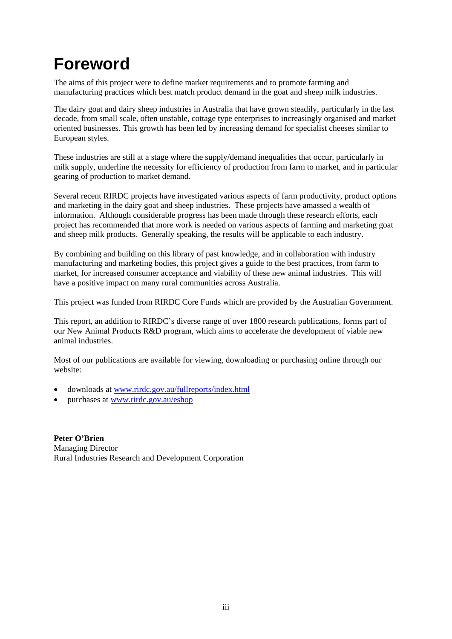### <span id="page-3-0"></span>**Foreword**

The aims of this project were to define market requirements and to promote farming and manufacturing practices which best match product demand in the goat and sheep milk industries.

The dairy goat and dairy sheep industries in Australia that have grown steadily, particularly in the last decade, from small scale, often unstable, cottage type enterprises to increasingly organised and market oriented businesses. This growth has been led by increasing demand for specialist cheeses similar to European styles.

These industries are still at a stage where the supply/demand inequalities that occur, particularly in milk supply, underline the necessity for efficiency of production from farm to market, and in particular gearing of production to market demand.

Several recent RIRDC projects have investigated various aspects of farm productivity, product options and marketing in the dairy goat and sheep industries. These projects have amassed a wealth of information. Although considerable progress has been made through these research efforts, each project has recommended that more work is needed on various aspects of farming and marketing goat and sheep milk products. Generally speaking, the results will be applicable to each industry.

By combining and building on this library of past knowledge, and in collaboration with industry manufacturing and marketing bodies, this project gives a guide to the best practices, from farm to market, for increased consumer acceptance and viability of these new animal industries. This will have a positive impact on many rural communities across Australia.

This project was funded from RIRDC Core Funds which are provided by the Australian Government.

This report, an addition to RIRDC's diverse range of over 1800 research publications, forms part of our New Animal Products R&D program, which aims to accelerate the development of viable new animal industries.

Most of our publications are available for viewing, downloading or purchasing online through our website:

- downloads at [www.rirdc.gov.au/fullreports/index.html](http://www.rirdc.gov.au/fullreports/index.html)
- purchases at [www.rirdc.gov.au/eshop](http://www.rirdc.gov.au/eshop)

**Peter O'Brien**  Managing Director Rural Industries Research and Development Corporation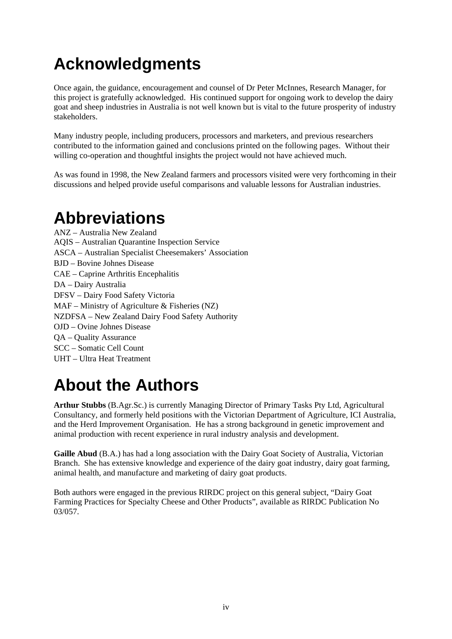# <span id="page-4-0"></span>**Acknowledgments**

Once again, the guidance, encouragement and counsel of Dr Peter McInnes, Research Manager, for this project is gratefully acknowledged. His continued support for ongoing work to develop the dairy goat and sheep industries in Australia is not well known but is vital to the future prosperity of industry stakeholders.

Many industry people, including producers, processors and marketers, and previous researchers contributed to the information gained and conclusions printed on the following pages. Without their willing co-operation and thoughtful insights the project would not have achieved much.

As was found in 1998, the New Zealand farmers and processors visited were very forthcoming in their discussions and helped provide useful comparisons and valuable lessons for Australian industries.

### **Abbreviations**

ANZ – Australia New Zealand AQIS – Australian Quarantine Inspection Service ASCA – Australian Specialist Cheesemakers' Association BJD – Bovine Johnes Disease CAE – Caprine Arthritis Encephalitis DA – Dairy Australia DFSV – Dairy Food Safety Victoria MAF – Ministry of Agriculture & Fisheries (NZ) NZDFSA – New Zealand Dairy Food Safety Authority OJD – Ovine Johnes Disease QA – Quality Assurance SCC – Somatic Cell Count UHT – Ultra Heat Treatment

## **About the Authors**

**Arthur Stubbs** (B.Agr.Sc.) is currently Managing Director of Primary Tasks Pty Ltd, Agricultural Consultancy, and formerly held positions with the Victorian Department of Agriculture, ICI Australia, and the Herd Improvement Organisation. He has a strong background in genetic improvement and animal production with recent experience in rural industry analysis and development.

**Gaille Abud** (B.A.) has had a long association with the Dairy Goat Society of Australia, Victorian Branch. She has extensive knowledge and experience of the dairy goat industry, dairy goat farming, animal health, and manufacture and marketing of dairy goat products.

Both authors were engaged in the previous RIRDC project on this general subject, "Dairy Goat Farming Practices for Specialty Cheese and Other Products", available as RIRDC Publication No 03/057.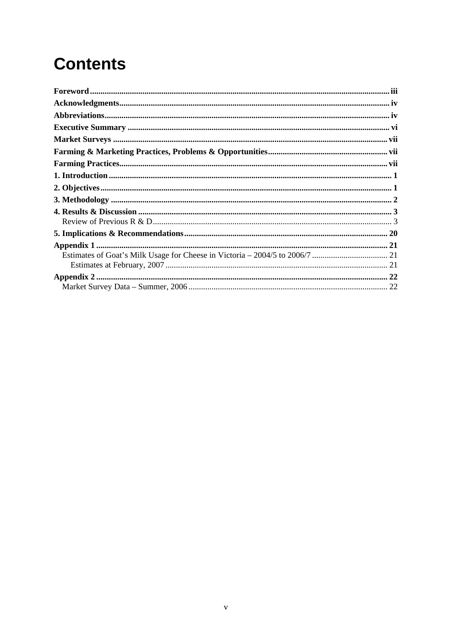# **Contents**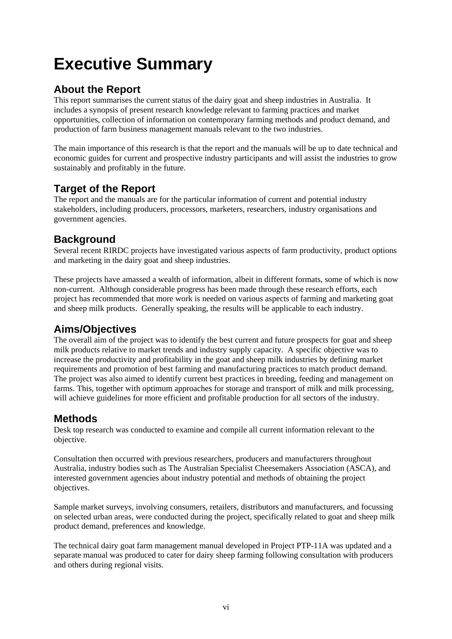# <span id="page-6-0"></span>**Executive Summary**

### **About the Report**

This report summarises the current status of the dairy goat and sheep industries in Australia. It includes a synopsis of present research knowledge relevant to farming practices and market opportunities, collection of information on contemporary farming methods and product demand, and production of farm business management manuals relevant to the two industries.

The main importance of this research is that the report and the manuals will be up to date technical and economic guides for current and prospective industry participants and will assist the industries to grow sustainably and profitably in the future.

### **Target of the Report**

The report and the manuals are for the particular information of current and potential industry stakeholders, including producers, processors, marketers, researchers, industry organisations and government agencies.

#### **Background**

Several recent RIRDC projects have investigated various aspects of farm productivity, product options and marketing in the dairy goat and sheep industries.

These projects have amassed a wealth of information, albeit in different formats, some of which is now non-current. Although considerable progress has been made through these research efforts, each project has recommended that more work is needed on various aspects of farming and marketing goat and sheep milk products. Generally speaking, the results will be applicable to each industry.

**Aims/Objectives**<br>The overall aim of the project was to identify the best current and future prospects for goat and sheep milk products relative to market trends and industry supply capacity. A specific objective was to increase the productivity and profitability in the goat and sheep milk industries by defining market requirements and promotion of best farming and manufacturing practices to match product demand. The project was also aimed to identify current best practices in breeding, feeding and management on farms. This, together with optimum approaches for storage and transport of milk and milk processing, will achieve guidelines for more efficient and profitable production for all sectors of the industry.

### **Methods**

Desk top research was conducted to examine and compile all current information relevant to the objective.

Consultation then occurred with previous researchers, producers and manufacturers throughout Australia, industry bodies such as The Australian Specialist Cheesemakers Association (ASCA), and interested government agencies about industry potential and methods of obtaining the project objectives.

Sample market surveys, involving consumers, retailers, distributors and manufacturers, and focussing on selected urban areas, were conducted during the project, specifically related to goat and sheep milk product demand, preferences and knowledge.

The technical dairy goat farm management manual developed in Project PTP-11A was updated and a separate manual was produced to cater for dairy sheep farming following consultation with producers and others during regional visits.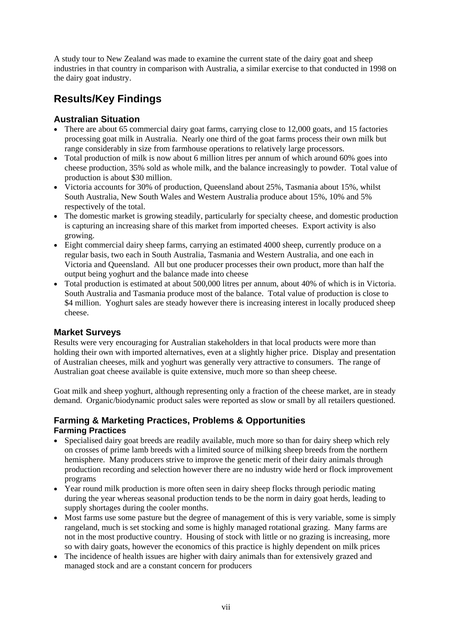<span id="page-7-0"></span>A study tour to New Zealand was made to examine the current state of the dairy goat and sheep industries in that country in comparison with Australia, a similar exercise to that conducted in 1998 on the dairy goat industry.

### **Results/Key Findings**

#### **Australian Situation**

- There are about 65 commercial dairy goat farms, carrying close to 12,000 goats, and 15 factories processing goat milk in Australia. Nearly one third of the goat farms process their own milk but range considerably in size from farmhouse operations to relatively large processors.
- Total production of milk is now about 6 million litres per annum of which around 60% goes into cheese production, 35% sold as whole milk, and the balance increasingly to powder. Total value of production is about \$30 million.
- Victoria accounts for 30% of production, Queensland about 25%, Tasmania about 15%, whilst South Australia, New South Wales and Western Australia produce about 15%, 10% and 5% respectively of the total.
- The domestic market is growing steadily, particularly for specialty cheese, and domestic production is capturing an increasing share of this market from imported cheeses. Export activity is also growing.
- Eight commercial dairy sheep farms, carrying an estimated 4000 sheep, currently produce on a regular basis, two each in South Australia, Tasmania and Western Australia, and one each in Victoria and Queensland. All but one producer processes their own product, more than half the output being yoghurt and the balance made into cheese
- Total production is estimated at about 500,000 litres per annum, about 40% of which is in Victoria. South Australia and Tasmania produce most of the balance. Total value of production is close to \$4 million. Yoghurt sales are steady however there is increasing interest in locally produced sheep cheese.

#### **Market Surveys**

Results were very encouraging for Australian stakeholders in that local products were more than holding their own with imported alternatives, even at a slightly higher price. Display and presentation of Australian cheeses, milk and yoghurt was generally very attractive to consumers. The range of Australian goat cheese available is quite extensive, much more so than sheep cheese.

Goat milk and sheep yoghurt, although representing only a fraction of the cheese market, are in steady demand. Organic/biodynamic product sales were reported as slow or small by all retailers questioned.

#### **Farming & Marketing Practices, Problems & Opportunities Farming Practices**

- Specialised dairy goat breeds are readily available, much more so than for dairy sheep which rely on crosses of prime lamb breeds with a limited source of milking sheep breeds from the northern hemisphere. Many producers strive to improve the genetic merit of their dairy animals through production recording and selection however there are no industry wide herd or flock improvement programs
- Year round milk production is more often seen in dairy sheep flocks through periodic mating during the year whereas seasonal production tends to be the norm in dairy goat herds, leading to supply shortages during the cooler months.
- Most farms use some pasture but the degree of management of this is very variable, some is simply rangeland, much is set stocking and some is highly managed rotational grazing. Many farms are not in the most productive country. Housing of stock with little or no grazing is increasing, more so with dairy goats, however the economics of this practice is highly dependent on milk prices
- The incidence of health issues are higher with dairy animals than for extensively grazed and managed stock and are a constant concern for producers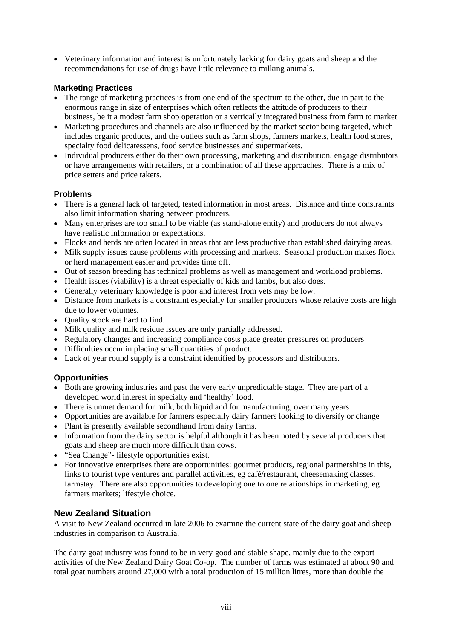• Veterinary information and interest is unfortunately lacking for dairy goats and sheep and the recommendations for use of drugs have little relevance to milking animals.

#### **Marketing Practices**

- The range of marketing practices is from one end of the spectrum to the other, due in part to the enormous range in size of enterprises which often reflects the attitude of producers to their business, be it a modest farm shop operation or a vertically integrated business from farm to market
- Marketing procedures and channels are also influenced by the market sector being targeted, which includes organic products, and the outlets such as farm shops, farmers markets, health food stores, specialty food delicatessens, food service businesses and supermarkets.
- Individual producers either do their own processing, marketing and distribution, engage distributors or have arrangements with retailers, or a combination of all these approaches. There is a mix of price setters and price takers.

#### **Problems**

- There is a general lack of targeted, tested information in most areas. Distance and time constraints also limit information sharing between producers.
- Many enterprises are too small to be viable (as stand-alone entity) and producers do not always have realistic information or expectations.
- Flocks and herds are often located in areas that are less productive than established dairying areas.
- Milk supply issues cause problems with processing and markets. Seasonal production makes flock or herd management easier and provides time off.
- Out of season breeding has technical problems as well as management and workload problems.
- Health issues (viability) is a threat especially of kids and lambs, but also does.
- Generally veterinary knowledge is poor and interest from vets may be low.
- Distance from markets is a constraint especially for smaller producers whose relative costs are high due to lower volumes.
- Quality stock are hard to find.
- Milk quality and milk residue issues are only partially addressed.
- Regulatory changes and increasing compliance costs place greater pressures on producers
- Difficulties occur in placing small quantities of product.
- Lack of year round supply is a constraint identified by processors and distributors.

#### **Opportunities**

- Both are growing industries and past the very early unpredictable stage. They are part of a developed world interest in specialty and 'healthy' food.
- There is unmet demand for milk, both liquid and for manufacturing, over many years
- Opportunities are available for farmers especially dairy farmers looking to diversify or change
- Plant is presently available secondhand from dairy farms.
- Information from the dairy sector is helpful although it has been noted by several producers that goats and sheep are much more difficult than cows.
- "Sea Change"- lifestyle opportunities exist.
- For innovative enterprises there are opportunities: gourmet products, regional partnerships in this, links to tourist type ventures and parallel activities, eg café/restaurant, cheesemaking classes, farmstay. There are also opportunities to developing one to one relationships in marketing, eg farmers markets; lifestyle choice.

#### **New Zealand Situation**

A visit to New Zealand occurred in late 2006 to examine the current state of the dairy goat and sheep industries in comparison to Australia.

The dairy goat industry was found to be in very good and stable shape, mainly due to the export activities of the New Zealand Dairy Goat Co-op. The number of farms was estimated at about 90 and total goat numbers around 27,000 with a total production of 15 million litres, more than double the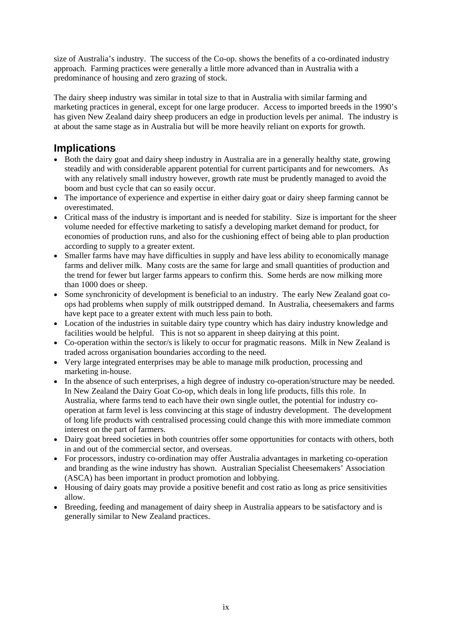size of Australia's industry. The success of the Co-op. shows the benefits of a co-ordinated industry approach. Farming practices were generally a little more advanced than in Australia with a predominance of housing and zero grazing of stock.

The dairy sheep industry was similar in total size to that in Australia with similar farming and marketing practices in general, except for one large producer. Access to imported breeds in the 1990's has given New Zealand dairy sheep producers an edge in production levels per animal. The industry is at about the same stage as in Australia but will be more heavily reliant on exports for growth.

### **Implications**

- Both the dairy goat and dairy sheep industry in Australia are in a generally healthy state, growing steadily and with considerable apparent potential for current participants and for newcomers. As with any relatively small industry however, growth rate must be prudently managed to avoid the boom and bust cycle that can so easily occur.
- The importance of experience and expertise in either dairy goat or dairy sheep farming cannot be overestimated.
- Critical mass of the industry is important and is needed for stability. Size is important for the sheer volume needed for effective marketing to satisfy a developing market demand for product, for economies of production runs, and also for the cushioning effect of being able to plan production according to supply to a greater extent.
- Smaller farms have may have difficulties in supply and have less ability to economically manage farms and deliver milk. Many costs are the same for large and small quantities of production and the trend for fewer but larger farms appears to confirm this. Some herds are now milking more than 1000 does or sheep.
- Some synchronicity of development is beneficial to an industry. The early New Zealand goat coops had problems when supply of milk outstripped demand. In Australia, cheesemakers and farms have kept pace to a greater extent with much less pain to both.
- Location of the industries in suitable dairy type country which has dairy industry knowledge and facilities would be helpful. This is not so apparent in sheep dairying at this point.
- Co-operation within the sector/s is likely to occur for pragmatic reasons. Milk in New Zealand is traded across organisation boundaries according to the need.
- Very large integrated enterprises may be able to manage milk production, processing and marketing in-house.
- In the absence of such enterprises, a high degree of industry co-operation/structure may be needed. In New Zealand the Dairy Goat Co-op, which deals in long life products, fills this role. In Australia, where farms tend to each have their own single outlet, the potential for industry cooperation at farm level is less convincing at this stage of industry development. The development of long life products with centralised processing could change this with more immediate common interest on the part of farmers.
- Dairy goat breed societies in both countries offer some opportunities for contacts with others, both in and out of the commercial sector, and overseas.
- For processors, industry co-ordination may offer Australia advantages in marketing co-operation and branding as the wine industry has shown. Australian Specialist Cheesemakers' Association (ASCA) has been important in product promotion and lobbying.
- Housing of dairy goats may provide a positive benefit and cost ratio as long as price sensitivities allow.
- Breeding, feeding and management of dairy sheep in Australia appears to be satisfactory and is generally similar to New Zealand practices.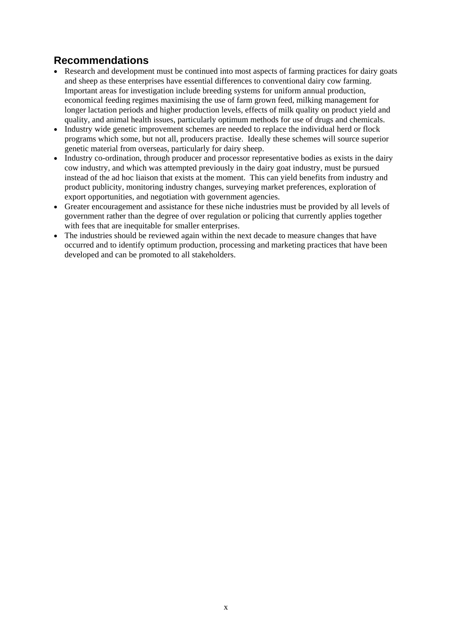### **Recommendations**

- Research and development must be continued into most aspects of farming practices for dairy goats and sheep as these enterprises have essential differences to conventional dairy cow farming. Important areas for investigation include breeding systems for uniform annual production, economical feeding regimes maximising the use of farm grown feed, milking management for longer lactation periods and higher production levels, effects of milk quality on product yield and quality, and animal health issues, particularly optimum methods for use of drugs and chemicals.
- Industry wide genetic improvement schemes are needed to replace the individual herd or flock programs which some, but not all, producers practise. Ideally these schemes will source superior genetic material from overseas, particularly for dairy sheep.
- Industry co-ordination, through producer and processor representative bodies as exists in the dairy cow industry, and which was attempted previously in the dairy goat industry, must be pursued instead of the ad hoc liaison that exists at the moment. This can yield benefits from industry and product publicity, monitoring industry changes, surveying market preferences, exploration of export opportunities, and negotiation with government agencies.
- Greater encouragement and assistance for these niche industries must be provided by all levels of government rather than the degree of over regulation or policing that currently applies together with fees that are inequitable for smaller enterprises.
- The industries should be reviewed again within the next decade to measure changes that have occurred and to identify optimum production, processing and marketing practices that have been developed and can be promoted to all stakeholders.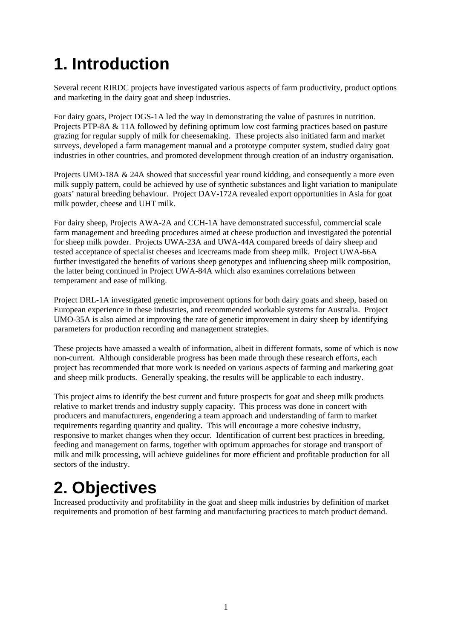# <span id="page-12-0"></span>**1. Introduction**

Several recent RIRDC projects have investigated various aspects of farm productivity, product options and marketing in the dairy goat and sheep industries.

For dairy goats, Project DGS-1A led the way in demonstrating the value of pastures in nutrition. Projects PTP-8A & 11A followed by defining optimum low cost farming practices based on pasture grazing for regular supply of milk for cheesemaking. These projects also initiated farm and market surveys, developed a farm management manual and a prototype computer system, studied dairy goat industries in other countries, and promoted development through creation of an industry organisation.

Projects UMO-18A & 24A showed that successful year round kidding, and consequently a more even milk supply pattern, could be achieved by use of synthetic substances and light variation to manipulate goats' natural breeding behaviour. Project DAV-172A revealed export opportunities in Asia for goat milk powder, cheese and UHT milk.

For dairy sheep, Projects AWA-2A and CCH-1A have demonstrated successful, commercial scale farm management and breeding procedures aimed at cheese production and investigated the potential for sheep milk powder. Projects UWA-23A and UWA-44A compared breeds of dairy sheep and tested acceptance of specialist cheeses and icecreams made from sheep milk. Project UWA-66A further investigated the benefits of various sheep genotypes and influencing sheep milk composition, the latter being continued in Project UWA-84A which also examines correlations between temperament and ease of milking.

Project DRL-1A investigated genetic improvement options for both dairy goats and sheep, based on European experience in these industries, and recommended workable systems for Australia. Project UMO-35A is also aimed at improving the rate of genetic improvement in dairy sheep by identifying parameters for production recording and management strategies.

These projects have amassed a wealth of information, albeit in different formats, some of which is now non-current. Although considerable progress has been made through these research efforts, each project has recommended that more work is needed on various aspects of farming and marketing goat and sheep milk products. Generally speaking, the results will be applicable to each industry.

This project aims to identify the best current and future prospects for goat and sheep milk products relative to market trends and industry supply capacity. This process was done in concert with producers and manufacturers, engendering a team approach and understanding of farm to market requirements regarding quantity and quality. This will encourage a more cohesive industry, responsive to market changes when they occur. Identification of current best practices in breeding, feeding and management on farms, together with optimum approaches for storage and transport of milk and milk processing, will achieve guidelines for more efficient and profitable production for all sectors of the industry.

### **2. Objectives**

Increased productivity and profitability in the goat and sheep milk industries by definition of market requirements and promotion of best farming and manufacturing practices to match product demand.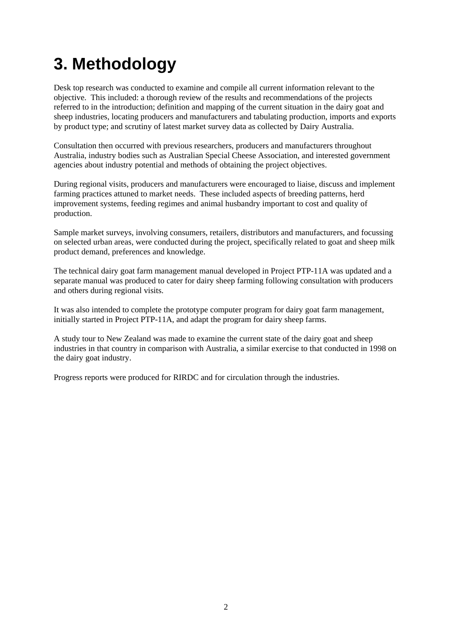# <span id="page-13-0"></span>**3. Methodology**

Desk top research was conducted to examine and compile all current information relevant to the objective. This included: a thorough review of the results and recommendations of the projects referred to in the introduction; definition and mapping of the current situation in the dairy goat and sheep industries, locating producers and manufacturers and tabulating production, imports and exports by product type; and scrutiny of latest market survey data as collected by Dairy Australia.

Consultation then occurred with previous researchers, producers and manufacturers throughout Australia, industry bodies such as Australian Special Cheese Association, and interested government agencies about industry potential and methods of obtaining the project objectives.

During regional visits, producers and manufacturers were encouraged to liaise, discuss and implement farming practices attuned to market needs. These included aspects of breeding patterns, herd improvement systems, feeding regimes and animal husbandry important to cost and quality of production.

Sample market surveys, involving consumers, retailers, distributors and manufacturers, and focussing on selected urban areas, were conducted during the project, specifically related to goat and sheep milk product demand, preferences and knowledge.

The technical dairy goat farm management manual developed in Project PTP-11A was updated and a separate manual was produced to cater for dairy sheep farming following consultation with producers and others during regional visits.

It was also intended to complete the prototype computer program for dairy goat farm management, initially started in Project PTP-11A, and adapt the program for dairy sheep farms.

A study tour to New Zealand was made to examine the current state of the dairy goat and sheep industries in that country in comparison with Australia, a similar exercise to that conducted in 1998 on the dairy goat industry.

Progress reports were produced for RIRDC and for circulation through the industries.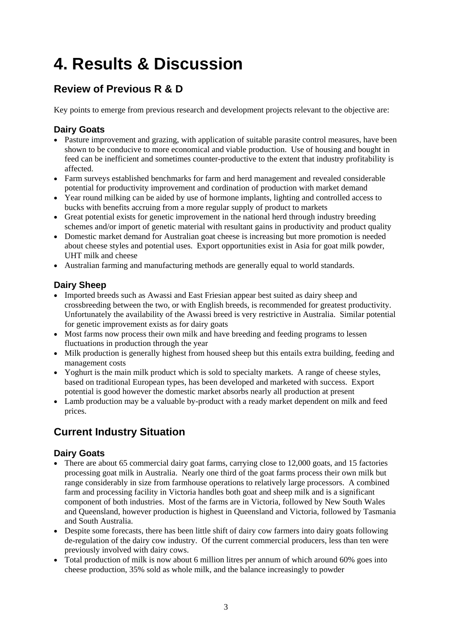# <span id="page-14-0"></span>**4. Results & Discussion**

### **Review of Previous R & D**

Key points to emerge from previous research and development projects relevant to the objective are:

#### **Dairy Goats**

- Pasture improvement and grazing, with application of suitable parasite control measures, have been shown to be conducive to more economical and viable production. Use of housing and bought in feed can be inefficient and sometimes counter-productive to the extent that industry profitability is affected.
- Farm surveys established benchmarks for farm and herd management and revealed considerable potential for productivity improvement and cordination of production with market demand
- Year round milking can be aided by use of hormone implants, lighting and controlled access to bucks with benefits accruing from a more regular supply of product to markets
- Great potential exists for genetic improvement in the national herd through industry breeding schemes and/or import of genetic material with resultant gains in productivity and product quality
- Domestic market demand for Australian goat cheese is increasing but more promotion is needed about cheese styles and potential uses. Export opportunities exist in Asia for goat milk powder, UHT milk and cheese
- Australian farming and manufacturing methods are generally equal to world standards.

#### **Dairy Sheep**

- Imported breeds such as Awassi and East Friesian appear best suited as dairy sheep and crossbreeding between the two, or with English breeds, is recommended for greatest productivity. Unfortunately the availability of the Awassi breed is very restrictive in Australia. Similar potential for genetic improvement exists as for dairy goats
- Most farms now process their own milk and have breeding and feeding programs to lessen fluctuations in production through the year
- Milk production is generally highest from housed sheep but this entails extra building, feeding and management costs
- Yoghurt is the main milk product which is sold to specialty markets. A range of cheese styles, based on traditional European types, has been developed and marketed with success. Export potential is good however the domestic market absorbs nearly all production at present
- Lamb production may be a valuable by-product with a ready market dependent on milk and feed prices.

### **Current Industry Situation**

- There are about 65 commercial dairy goat farms, carrying close to 12,000 goats, and 15 factories processing goat milk in Australia. Nearly one third of the goat farms process their own milk but range considerably in size from farmhouse operations to relatively large processors. A combined farm and processing facility in Victoria handles both goat and sheep milk and is a significant component of both industries. Most of the farms are in Victoria, followed by New South Wales and Queensland, however production is highest in Queensland and Victoria, followed by Tasmania and South Australia.
- Despite some forecasts, there has been little shift of dairy cow farmers into dairy goats following de-regulation of the dairy cow industry. Of the current commercial producers, less than ten were previously involved with dairy cows.
- Total production of milk is now about 6 million litres per annum of which around 60% goes into cheese production, 35% sold as whole milk, and the balance increasingly to powder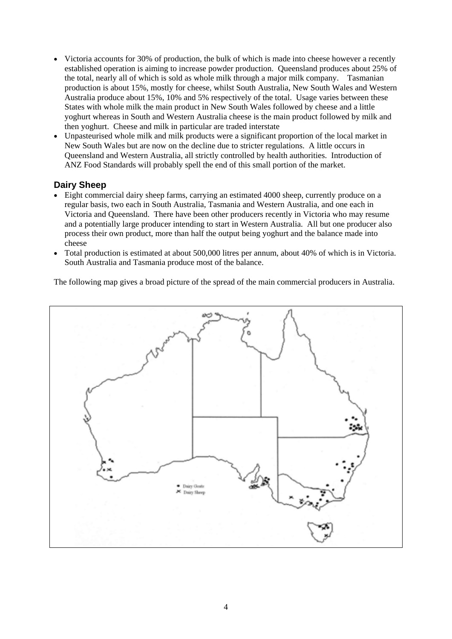- Victoria accounts for 30% of production, the bulk of which is made into cheese however a recently established operation is aiming to increase powder production. Queensland produces about 25% of the total, nearly all of which is sold as whole milk through a major milk company. Tasmanian production is about 15%, mostly for cheese, whilst South Australia, New South Wales and Western Australia produce about 15%, 10% and 5% respectively of the total. Usage varies between these States with whole milk the main product in New South Wales followed by cheese and a little yoghurt whereas in South and Western Australia cheese is the main product followed by milk and then yoghurt. Cheese and milk in particular are traded interstate
- Unpasteurised whole milk and milk products were a significant proportion of the local market in New South Wales but are now on the decline due to stricter regulations. A little occurs in Queensland and Western Australia, all strictly controlled by health authorities. Introduction of ANZ Food Standards will probably spell the end of this small portion of the market.

#### **Dairy Sheep**

- Eight commercial dairy sheep farms, carrying an estimated 4000 sheep, currently produce on a regular basis, two each in South Australia, Tasmania and Western Australia, and one each in Victoria and Queensland. There have been other producers recently in Victoria who may resume and a potentially large producer intending to start in Western Australia. All but one producer also process their own product, more than half the output being yoghurt and the balance made into cheese
- Total production is estimated at about 500,000 litres per annum, about 40% of which is in Victoria. South Australia and Tasmania produce most of the balance.

The following map gives a broad picture of the spread of the main commercial producers in Australia.

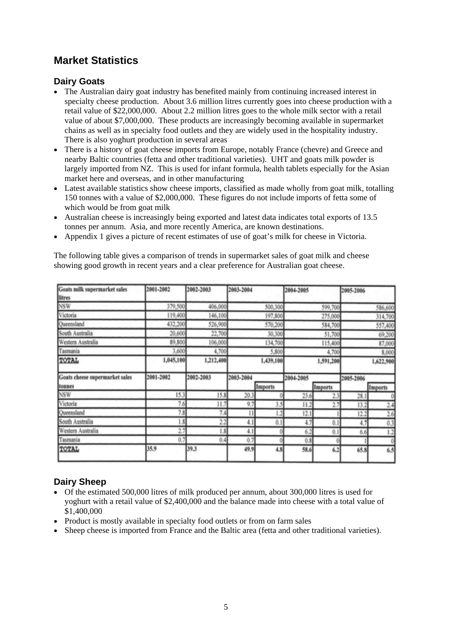### **Market Statistics**

#### **Dairy Goats**

- The Australian dairy goat industry has benefited mainly from continuing increased interest in specialty cheese production. About 3.6 million litres currently goes into cheese production with a retail value of \$22,000,000. About 2.2 million litres goes to the whole milk sector with a retail value of about \$7,000,000. These products are increasingly becoming available in supermarket chains as well as in specialty food outlets and they are widely used in the hospitality industry. There is also yoghurt production in several areas
- There is a history of goat cheese imports from Europe, notably France (chevre) and Greece and nearby Baltic countries (fetta and other traditional varieties). UHT and goats milk powder is largely imported from NZ. This is used for infant formula, health tablets especially for the Asian market here and overseas, and in other manufacturing
- Latest available statistics show cheese imports, classified as made wholly from goat milk, totalling 150 tonnes with a value of \$2,000,000. These figures do not include imports of fetta some of which would be from goat milk
- Australian cheese is increasingly being exported and latest data indicates total exports of 13.5 tonnes per annum. Asia, and more recently America, are known destinations.
- Appendix 1 gives a picture of recent estimates of use of goat's milk for cheese in Victoria.

The following table gives a comparison of trends in supermarket sales of goat milk and cheese showing good growth in recent years and a clear preference for Australian goat cheese.

| Goats milk supermarket sales<br>litres | 2001-2002 | 2002-2003 | 2003-2004    |           | 2004-2005 |                | 2005-2006 |           |
|----------------------------------------|-----------|-----------|--------------|-----------|-----------|----------------|-----------|-----------|
| NSW                                    | 379,500   | 406,000   |              | 500,300   |           | 599,700        |           | 586,600   |
| Victoria                               | 119,400   | 146,100   |              | 197,800   |           | 275,000        |           | 314,700   |
| Queensland                             | 432,200   | 526,900   |              | 570,200   |           | 584,700        |           | 557,400   |
| South Australia                        | 20,600    | 22,700    |              | 30,300    |           | 51,700         |           | 69,200    |
| Western Australia                      | 89,800    | 106,000   |              | 134,700   |           | 115,400        |           | 87,000    |
| Tasmania                               | 3,600     | 4,700     |              | 5,800     |           | 4,700          |           | 8,000     |
| TOTAL                                  | 1,045,100 | 1,212,400 |              | 1,439,100 |           | 1,591,200      |           | 1,622,900 |
| Goats cheese supermarket sales         | 2001-2002 | 2002-2003 | 2003-2004    |           | 2004-2005 |                | 2005-2006 |           |
| tonnes                                 |           |           |              | Imports   |           | <b>Imports</b> |           | Imports   |
| <b>NSW</b>                             | 15.3      | 15.8      | 20.3         |           | 23.6      | 23             | 28.1      |           |
| Victoria                               | 7.6       | 11.7      | 9.7          | 3.5       | 11.2      | 2.7            | 13.2      | 2.4       |
| Queensland                             | 7.8       | 7.4       | $\mathbf{1}$ | 2         | 12.1      |                | 12.2      | 2.6       |
| South Australia                        | 1.8       | 2.2       | 4.1          | 0.1       | 4.7       | 0.1            | 4.7       | 0.3       |
| Western Australia                      | 2.7       | 1.8       | 4.1          |           | 6.2       | 0.1            | 6.6       | 1.2       |
| Tasmania                               | 0.7       | 0.4       | 0.7          |           | 0.8       |                |           |           |
| TOTAL                                  | 35.9      | 39,3      | 49.9         | 4.8       | 58.6      | 6.2            | 65.8      | 6.5       |

#### **Dairy Sheep**

- Of the estimated 500,000 litres of milk produced per annum, about 300,000 litres is used for yoghurt with a retail value of \$2,400,000 and the balance made into cheese with a total value of \$1,400,000
- Product is mostly available in specialty food outlets or from on farm sales
- Sheep cheese is imported from France and the Baltic area (fetta and other traditional varieties).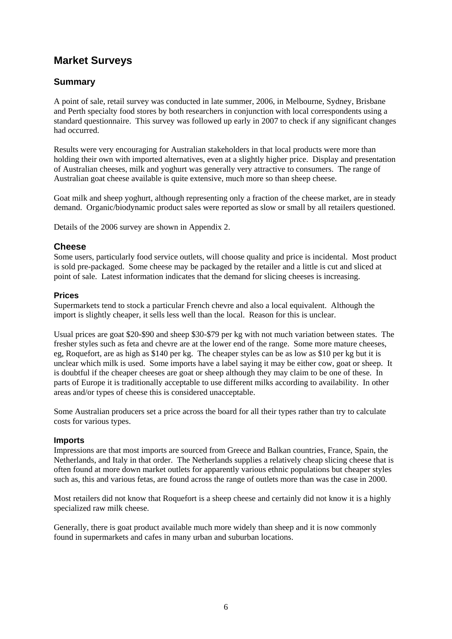#### **Market Surveys**

#### **Summary**

A point of sale, retail survey was conducted in late summer, 2006, in Melbourne, Sydney, Brisbane and Perth specialty food stores by both researchers in conjunction with local correspondents using a standard questionnaire. This survey was followed up early in 2007 to check if any significant changes had occurred.

Results were very encouraging for Australian stakeholders in that local products were more than holding their own with imported alternatives, even at a slightly higher price. Display and presentation of Australian cheeses, milk and yoghurt was generally very attractive to consumers. The range of Australian goat cheese available is quite extensive, much more so than sheep cheese.

Goat milk and sheep yoghurt, although representing only a fraction of the cheese market, are in steady demand. Organic/biodynamic product sales were reported as slow or small by all retailers questioned.

Details of the 2006 survey are shown in Appendix 2.

#### **Cheese**

Some users, particularly food service outlets, will choose quality and price is incidental. Most product is sold pre-packaged. Some cheese may be packaged by the retailer and a little is cut and sliced at point of sale. Latest information indicates that the demand for slicing cheeses is increasing.

#### **Prices**

Supermarkets tend to stock a particular French chevre and also a local equivalent. Although the import is slightly cheaper, it sells less well than the local. Reason for this is unclear.

Usual prices are goat \$20-\$90 and sheep \$30-\$79 per kg with not much variation between states. The fresher styles such as feta and chevre are at the lower end of the range. Some more mature cheeses, eg, Roquefort, are as high as \$140 per kg. The cheaper styles can be as low as \$10 per kg but it is unclear which milk is used. Some imports have a label saying it may be either cow, goat or sheep. It is doubtful if the cheaper cheeses are goat or sheep although they may claim to be one of these. In parts of Europe it is traditionally acceptable to use different milks according to availability. In other areas and/or types of cheese this is considered unacceptable.

Some Australian producers set a price across the board for all their types rather than try to calculate costs for various types.

#### **Imports**

Impressions are that most imports are sourced from Greece and Balkan countries, France, Spain, the Netherlands, and Italy in that order. The Netherlands supplies a relatively cheap slicing cheese that is often found at more down market outlets for apparently various ethnic populations but cheaper styles such as, this and various fetas, are found across the range of outlets more than was the case in 2000.

Most retailers did not know that Roquefort is a sheep cheese and certainly did not know it is a highly specialized raw milk cheese.

Generally, there is goat product available much more widely than sheep and it is now commonly found in supermarkets and cafes in many urban and suburban locations.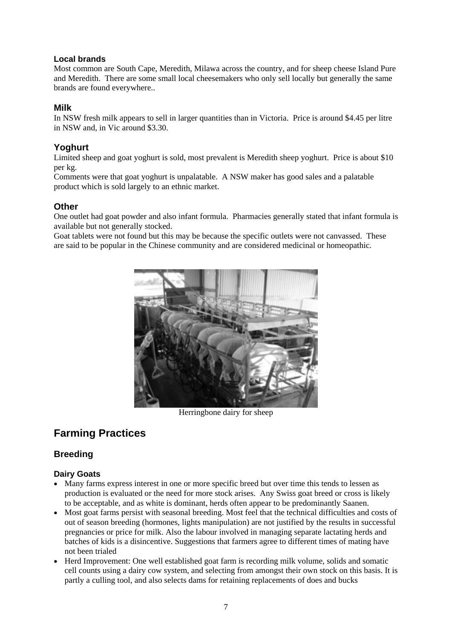#### **Local brands**

Most common are South Cape, Meredith, Milawa across the country, and for sheep cheese Island Pure and Meredith. There are some small local cheesemakers who only sell locally but generally the same brands are found everywhere..

#### **Milk**

In NSW fresh milk appears to sell in larger quantities than in Victoria. Price is around \$4.45 per litre in NSW and, in Vic around \$3.30.

#### **Yoghurt**

Limited sheep and goat yoghurt is sold, most prevalent is Meredith sheep yoghurt. Price is about \$10 per kg.

Comments were that goat yoghurt is unpalatable. A NSW maker has good sales and a palatable product which is sold largely to an ethnic market.

#### **Other**

One outlet had goat powder and also infant formula. Pharmacies generally stated that infant formula is available but not generally stocked.

Goat tablets were not found but this may be because the specific outlets were not canvassed. These are said to be popular in the Chinese community and are considered medicinal or homeopathic.



Herringbone dairy for sheep

### **Farming Practices**

#### **Breeding**

- Many farms express interest in one or more specific breed but over time this tends to lessen as production is evaluated or the need for more stock arises. Any Swiss goat breed or cross is likely to be acceptable, and as white is dominant, herds often appear to be predominantly Saanen.
- Most goat farms persist with seasonal breeding. Most feel that the technical difficulties and costs of out of season breeding (hormones, lights manipulation) are not justified by the results in successful pregnancies or price for milk. Also the labour involved in managing separate lactating herds and batches of kids is a disincentive. Suggestions that farmers agree to different times of mating have not been trialed
- Herd Improvement: One well established goat farm is recording milk volume, solids and somatic cell counts using a dairy cow system, and selecting from amongst their own stock on this basis. It is partly a culling tool, and also selects dams for retaining replacements of does and bucks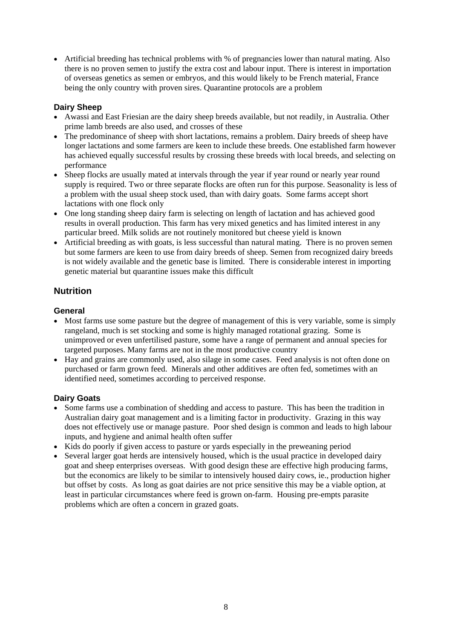• Artificial breeding has technical problems with % of pregnancies lower than natural mating. Also there is no proven semen to justify the extra cost and labour input. There is interest in importation of overseas genetics as semen or embryos, and this would likely to be French material, France being the only country with proven sires. Quarantine protocols are a problem

#### **Dairy Sheep**

- Awassi and East Friesian are the dairy sheep breeds available, but not readily, in Australia. Other prime lamb breeds are also used, and crosses of these
- The predominance of sheep with short lactations, remains a problem. Dairy breeds of sheep have longer lactations and some farmers are keen to include these breeds. One established farm however has achieved equally successful results by crossing these breeds with local breeds, and selecting on performance
- Sheep flocks are usually mated at intervals through the year if year round or nearly year round supply is required. Two or three separate flocks are often run for this purpose. Seasonality is less of a problem with the usual sheep stock used, than with dairy goats. Some farms accept short lactations with one flock only
- One long standing sheep dairy farm is selecting on length of lactation and has achieved good results in overall production. This farm has very mixed genetics and has limited interest in any particular breed. Milk solids are not routinely monitored but cheese yield is known
- Artificial breeding as with goats, is less successful than natural mating. There is no proven semen but some farmers are keen to use from dairy breeds of sheep. Semen from recognized dairy breeds is not widely available and the genetic base is limited. There is considerable interest in importing genetic material but quarantine issues make this difficult

#### **Nutrition**

#### **General**

- Most farms use some pasture but the degree of management of this is very variable, some is simply rangeland, much is set stocking and some is highly managed rotational grazing. Some is unimproved or even unfertilised pasture, some have a range of permanent and annual species for targeted purposes. Many farms are not in the most productive country
- Hay and grains are commonly used, also silage in some cases. Feed analysis is not often done on purchased or farm grown feed. Minerals and other additives are often fed, sometimes with an identified need, sometimes according to perceived response.

- Some farms use a combination of shedding and access to pasture. This has been the tradition in Australian dairy goat management and is a limiting factor in productivity. Grazing in this way does not effectively use or manage pasture. Poor shed design is common and leads to high labour inputs, and hygiene and animal health often suffer
- Kids do poorly if given access to pasture or yards especially in the preweaning period
- Several larger goat herds are intensively housed, which is the usual practice in developed dairy goat and sheep enterprises overseas. With good design these are effective high producing farms, but the economics are likely to be similar to intensively housed dairy cows, ie., production higher but offset by costs. As long as goat dairies are not price sensitive this may be a viable option, at least in particular circumstances where feed is grown on-farm. Housing pre-empts parasite problems which are often a concern in grazed goats.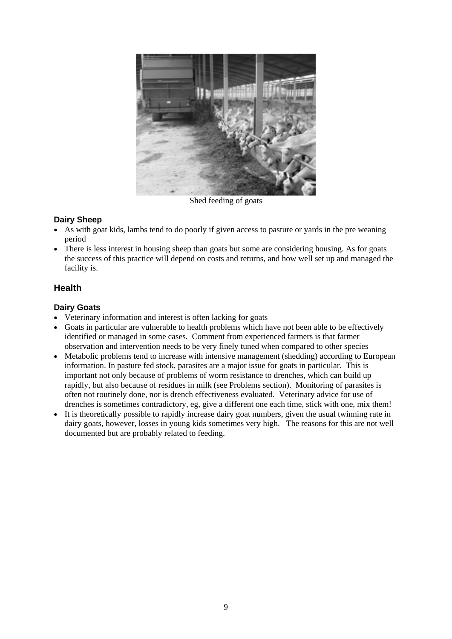

Shed feeding of goats

#### **Dairy Sheep**

- As with goat kids, lambs tend to do poorly if given access to pasture or vards in the pre weaning period
- There is less interest in housing sheep than goats but some are considering housing. As for goats the success of this practice will depend on costs and returns, and how well set up and managed the facility is.

#### **Health**

- Veterinary information and interest is often lacking for goats
- Goats in particular are vulnerable to health problems which have not been able to be effectively identified or managed in some cases. Comment from experienced farmers is that farmer observation and intervention needs to be very finely tuned when compared to other species
- Metabolic problems tend to increase with intensive management (shedding) according to European information. In pasture fed stock, parasites are a major issue for goats in particular. This is important not only because of problems of worm resistance to drenches, which can build up rapidly, but also because of residues in milk (see Problems section). Monitoring of parasites is often not routinely done, nor is drench effectiveness evaluated. Veterinary advice for use of drenches is sometimes contradictory, eg, give a different one each time, stick with one, mix them!
- It is theoretically possible to rapidly increase dairy goat numbers, given the usual twinning rate in dairy goats, however, losses in young kids sometimes very high. The reasons for this are not well documented but are probably related to feeding.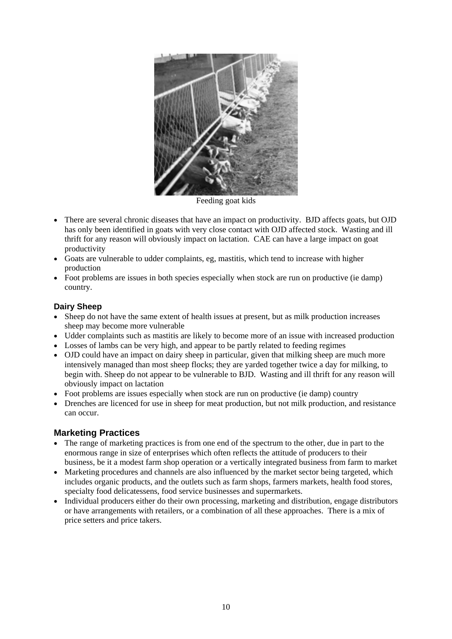

Feeding goat kids

- There are several chronic diseases that have an impact on productivity. BJD affects goats, but OJD has only been identified in goats with very close contact with OJD affected stock. Wasting and ill thrift for any reason will obviously impact on lactation. CAE can have a large impact on goat productivity
- Goats are vulnerable to udder complaints, eg, mastitis, which tend to increase with higher production
- Foot problems are issues in both species especially when stock are run on productive (ie damp) country.

#### **Dairy Sheep**

- Sheep do not have the same extent of health issues at present, but as milk production increases sheep may become more vulnerable
- Udder complaints such as mastitis are likely to become more of an issue with increased production
- Losses of lambs can be very high, and appear to be partly related to feeding regimes
- OJD could have an impact on dairy sheep in particular, given that milking sheep are much more intensively managed than most sheep flocks; they are yarded together twice a day for milking, to begin with. Sheep do not appear to be vulnerable to BJD. Wasting and ill thrift for any reason will obviously impact on lactation
- Foot problems are issues especially when stock are run on productive (ie damp) country
- Drenches are licenced for use in sheep for meat production, but not milk production, and resistance can occur.

#### **Marketing Practices**

- The range of marketing practices is from one end of the spectrum to the other, due in part to the enormous range in size of enterprises which often reflects the attitude of producers to their business, be it a modest farm shop operation or a vertically integrated business from farm to market
- Marketing procedures and channels are also influenced by the market sector being targeted, which includes organic products, and the outlets such as farm shops, farmers markets, health food stores, specialty food delicatessens, food service businesses and supermarkets.
- Individual producers either do their own processing, marketing and distribution, engage distributors or have arrangements with retailers, or a combination of all these approaches. There is a mix of price setters and price takers.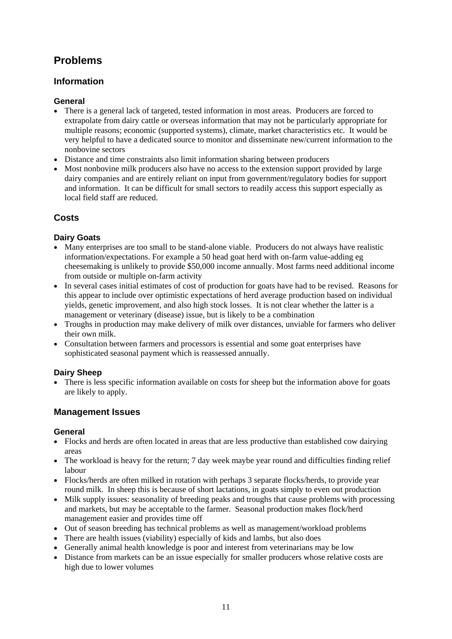### **Problems**

#### **Information**

#### **General**

- There is a general lack of targeted, tested information in most areas. Producers are forced to extrapolate from dairy cattle or overseas information that may not be particularly appropriate for multiple reasons; economic (supported systems), climate, market characteristics etc. It would be very helpful to have a dedicated source to monitor and disseminate new/current information to the nonbovine sectors
- Distance and time constraints also limit information sharing between producers
- Most nonbovine milk producers also have no access to the extension support provided by large dairy companies and are entirely reliant on input from government/regulatory bodies for support and information. It can be difficult for small sectors to readily access this support especially as local field staff are reduced.

#### **Costs**

#### **Dairy Goats**

- Many enterprises are too small to be stand-alone viable. Producers do not always have realistic information/expectations. For example a 50 head goat herd with on-farm value-adding eg cheesemaking is unlikely to provide \$50,000 income annually. Most farms need additional income from outside or multiple on-farm activity
- In several cases initial estimates of cost of production for goats have had to be revised. Reasons for this appear to include over optimistic expectations of herd average production based on individual yields, genetic improvement, and also high stock losses. It is not clear whether the latter is a management or veterinary (disease) issue, but is likely to be a combination
- Troughs in production may make delivery of milk over distances, unviable for farmers who deliver their own milk.
- Consultation between farmers and processors is essential and some goat enterprises have sophisticated seasonal payment which is reassessed annually.

#### **Dairy Sheep**

• There is less specific information available on costs for sheep but the information above for goats are likely to apply.

#### **Management Issues**

#### **General**

- Flocks and herds are often located in areas that are less productive than established cow dairying areas
- The workload is heavy for the return; 7 day week maybe year round and difficulties finding relief labour
- Flocks/herds are often milked in rotation with perhaps 3 separate flocks/herds, to provide year round milk. In sheep this is because of short lactations, in goats simply to even out production
- Milk supply issues: seasonality of breeding peaks and troughs that cause problems with processing and markets, but may be acceptable to the farmer. Seasonal production makes flock/herd management easier and provides time off
- Out of season breeding has technical problems as well as management/workload problems
- There are health issues (viability) especially of kids and lambs, but also does
- Generally animal health knowledge is poor and interest from veterinarians may be low
- Distance from markets can be an issue especially for smaller producers whose relative costs are high due to lower volumes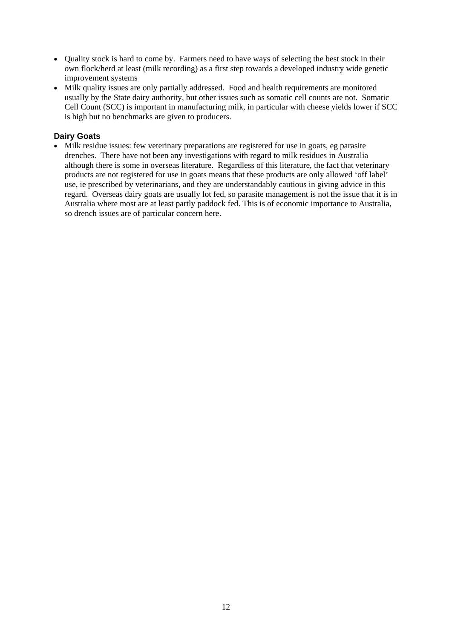- Quality stock is hard to come by. Farmers need to have ways of selecting the best stock in their own flock/herd at least (milk recording) as a first step towards a developed industry wide genetic improvement systems
- Milk quality issues are only partially addressed. Food and health requirements are monitored usually by the State dairy authority, but other issues such as somatic cell counts are not. Somatic Cell Count (SCC) is important in manufacturing milk, in particular with cheese yields lower if SCC is high but no benchmarks are given to producers.

#### **Dairy Goats**

• Milk residue issues: few veterinary preparations are registered for use in goats, eg parasite drenches. There have not been any investigations with regard to milk residues in Australia although there is some in overseas literature. Regardless of this literature, the fact that veterinary products are not registered for use in goats means that these products are only allowed 'off label' use, ie prescribed by veterinarians, and they are understandably cautious in giving advice in this regard. Overseas dairy goats are usually lot fed, so parasite management is not the issue that it is in Australia where most are at least partly paddock fed. This is of economic importance to Australia, so drench issues are of particular concern here.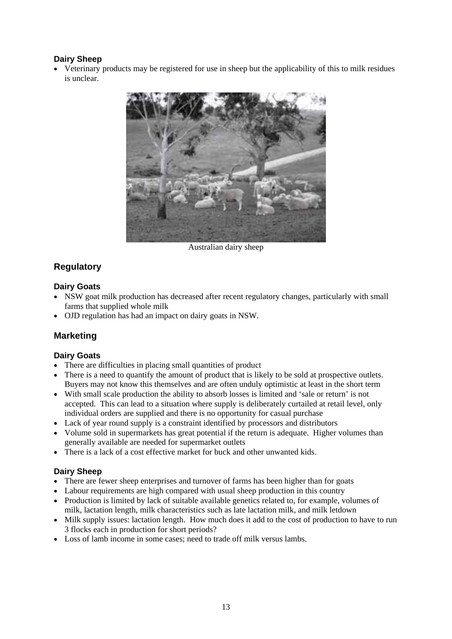#### **Dairy Sheep**

• Veterinary products may be registered for use in sheep but the applicability of this to milk residues is unclear.



Australian dairy sheep

#### **Regulatory**

#### **Dairy Goats**

- NSW goat milk production has decreased after recent regulatory changes, particularly with small farms that supplied whole milk
- OJD regulation has had an impact on dairy goats in NSW.

#### **Marketing**

#### **Dairy Goats**

- There are difficulties in placing small quantities of product
- There is a need to quantify the amount of product that is likely to be sold at prospective outlets. Buyers may not know this themselves and are often unduly optimistic at least in the short term
- With small scale production the ability to absorb losses is limited and 'sale or return' is not accepted. This can lead to a situation where supply is deliberately curtailed at retail level, only individual orders are supplied and there is no opportunity for casual purchase
- Lack of year round supply is a constraint identified by processors and distributors
- Volume sold in supermarkets has great potential if the return is adequate. Higher volumes than generally available are needed for supermarket outlets
- There is a lack of a cost effective market for buck and other unwanted kids.

#### **Dairy Sheep**

- There are fewer sheep enterprises and turnover of farms has been higher than for goats
- Labour requirements are high compared with usual sheep production in this country
- Production is limited by lack of suitable available genetics related to, for example, volumes of milk, lactation length, milk characteristics such as late lactation milk, and milk letdown
- Milk supply issues: lactation length. How much does it add to the cost of production to have to run 3 flocks each in production for short periods?
- Loss of lamb income in some cases; need to trade off milk versus lambs.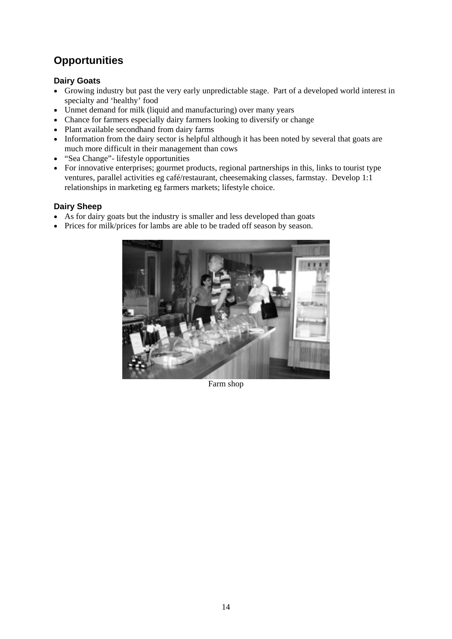### **Opportunities**

#### **Dairy Goats**

- Growing industry but past the very early unpredictable stage. Part of a developed world interest in specialty and 'healthy' food
- Unmet demand for milk (liquid and manufacturing) over many years
- Chance for farmers especially dairy farmers looking to diversify or change
- Plant available secondhand from dairy farms
- Information from the dairy sector is helpful although it has been noted by several that goats are much more difficult in their management than cows
- "Sea Change"- lifestyle opportunities
- For innovative enterprises; gourmet products, regional partnerships in this, links to tourist type ventures, parallel activities eg café/restaurant, cheesemaking classes, farmstay. Develop 1:1 relationships in marketing eg farmers markets; lifestyle choice.

#### **Dairy Sheep**

- As for dairy goats but the industry is smaller and less developed than goats
- Prices for milk/prices for lambs are able to be traded off season by season.



Farm shop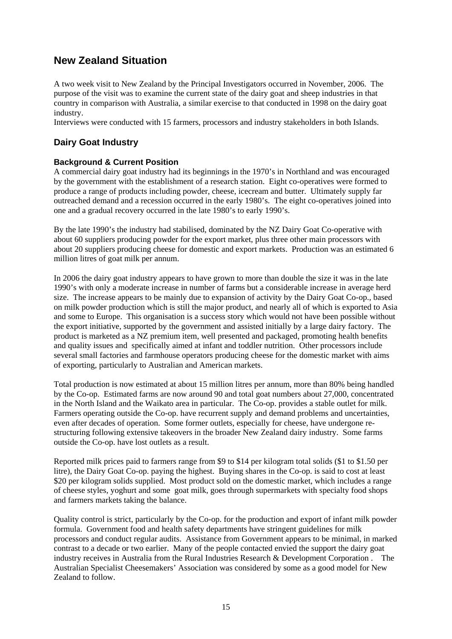### **New Zealand Situation**

A two week visit to New Zealand by the Principal Investigators occurred in November, 2006. The purpose of the visit was to examine the current state of the dairy goat and sheep industries in that country in comparison with Australia, a similar exercise to that conducted in 1998 on the dairy goat industry.

Interviews were conducted with 15 farmers, processors and industry stakeholders in both Islands.

#### **Dairy Goat Industry**

#### **Background & Current Position**

A commercial dairy goat industry had its beginnings in the 1970's in Northland and was encouraged by the government with the establishment of a research station. Eight co-operatives were formed to produce a range of products including powder, cheese, icecream and butter. Ultimately supply far outreached demand and a recession occurred in the early 1980's. The eight co-operatives joined into one and a gradual recovery occurred in the late 1980's to early 1990's.

By the late 1990's the industry had stabilised, dominated by the NZ Dairy Goat Co-operative with about 60 suppliers producing powder for the export market, plus three other main processors with about 20 suppliers producing cheese for domestic and export markets. Production was an estimated 6 million litres of goat milk per annum.

In 2006 the dairy goat industry appears to have grown to more than double the size it was in the late 1990's with only a moderate increase in number of farms but a considerable increase in average herd size. The increase appears to be mainly due to expansion of activity by the Dairy Goat Co-op., based on milk powder production which is still the major product, and nearly all of which is exported to Asia and some to Europe. This organisation is a success story which would not have been possible without the export initiative, supported by the government and assisted initially by a large dairy factory. The product is marketed as a NZ premium item, well presented and packaged, promoting health benefits and quality issues and specifically aimed at infant and toddler nutrition. Other processors include several small factories and farmhouse operators producing cheese for the domestic market with aims of exporting, particularly to Australian and American markets.

Total production is now estimated at about 15 million litres per annum, more than 80% being handled by the Co-op. Estimated farms are now around 90 and total goat numbers about 27,000, concentrated in the North Island and the Waikato area in particular. The Co-op. provides a stable outlet for milk. Farmers operating outside the Co-op. have recurrent supply and demand problems and uncertainties, even after decades of operation. Some former outlets, especially for cheese, have undergone restructuring following extensive takeovers in the broader New Zealand dairy industry. Some farms outside the Co-op. have lost outlets as a result.

Reported milk prices paid to farmers range from \$9 to \$14 per kilogram total solids (\$1 to \$1.50 per litre), the Dairy Goat Co-op. paying the highest. Buying shares in the Co-op. is said to cost at least \$20 per kilogram solids supplied. Most product sold on the domestic market, which includes a range of cheese styles, yoghurt and some goat milk, goes through supermarkets with specialty food shops and farmers markets taking the balance.

Quality control is strict, particularly by the Co-op. for the production and export of infant milk powder formula. Government food and health safety departments have stringent guidelines for milk processors and conduct regular audits. Assistance from Government appears to be minimal, in marked contrast to a decade or two earlier. Many of the people contacted envied the support the dairy goat industry receives in Australia from the Rural Industries Research & Development Corporation . The Australian Specialist Cheesemakers' Association was considered by some as a good model for New Zealand to follow.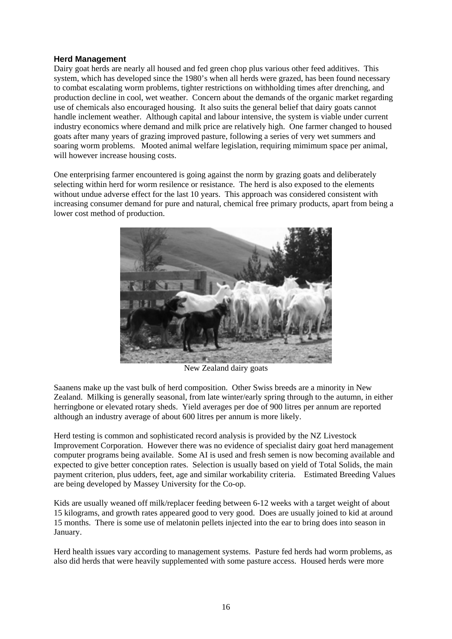#### **Herd Management**

Dairy goat herds are nearly all housed and fed green chop plus various other feed additives. This system, which has developed since the 1980's when all herds were grazed, has been found necessary to combat escalating worm problems, tighter restrictions on withholding times after drenching, and production decline in cool, wet weather. Concern about the demands of the organic market regarding use of chemicals also encouraged housing. It also suits the general belief that dairy goats cannot handle inclement weather. Although capital and labour intensive, the system is viable under current industry economics where demand and milk price are relatively high. One farmer changed to housed goats after many years of grazing improved pasture, following a series of very wet summers and soaring worm problems. Mooted animal welfare legislation, requiring mimimum space per animal, will however increase housing costs.

One enterprising farmer encountered is going against the norm by grazing goats and deliberately selecting within herd for worm resilence or resistance. The herd is also exposed to the elements without undue adverse effect for the last 10 years. This approach was considered consistent with increasing consumer demand for pure and natural, chemical free primary products, apart from being a lower cost method of production.



New Zealand dairy goats

Saanens make up the vast bulk of herd composition. Other Swiss breeds are a minority in New Zealand. Milking is generally seasonal, from late winter/early spring through to the autumn, in either herringbone or elevated rotary sheds. Yield averages per doe of 900 litres per annum are reported although an industry average of about 600 litres per annum is more likely.

Herd testing is common and sophisticated record analysis is provided by the NZ Livestock Improvement Corporation. However there was no evidence of specialist dairy goat herd management computer programs being available. Some AI is used and fresh semen is now becoming available and expected to give better conception rates. Selection is usually based on yield of Total Solids, the main payment criterion, plus udders, feet, age and similar workability criteria. Estimated Breeding Values are being developed by Massey University for the Co-op.

Kids are usually weaned off milk/replacer feeding between 6-12 weeks with a target weight of about 15 kilograms, and growth rates appeared good to very good. Does are usually joined to kid at around 15 months. There is some use of melatonin pellets injected into the ear to bring does into season in January.

Herd health issues vary according to management systems. Pasture fed herds had worm problems, as also did herds that were heavily supplemented with some pasture access. Housed herds were more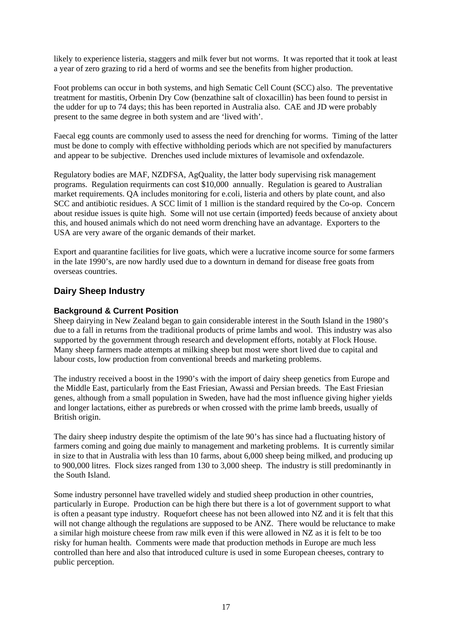likely to experience listeria, staggers and milk fever but not worms. It was reported that it took at least a year of zero grazing to rid a herd of worms and see the benefits from higher production.

Foot problems can occur in both systems, and high Sematic Cell Count (SCC) also. The preventative treatment for mastitis, Orbenin Dry Cow (benzathine salt of cloxacillin) has been found to persist in the udder for up to 74 days; this has been reported in Australia also. CAE and JD were probably present to the same degree in both system and are 'lived with'.

Faecal egg counts are commonly used to assess the need for drenching for worms. Timing of the latter must be done to comply with effective withholding periods which are not specified by manufacturers and appear to be subjective. Drenches used include mixtures of levamisole and oxfendazole.

Regulatory bodies are MAF, NZDFSA, AgQuality, the latter body supervising risk management programs. Regulation requirments can cost \$10,000 annually. Regulation is geared to Australian market requirements. QA includes monitoring for e.coli, listeria and others by plate count, and also SCC and antibiotic residues. A SCC limit of 1 million is the standard required by the Co-op. Concern about residue issues is quite high. Some will not use certain (imported) feeds because of anxiety about this, and housed animals which do not need worm drenching have an advantage. Exporters to the USA are very aware of the organic demands of their market.

Export and quarantine facilities for live goats, which were a lucrative income source for some farmers in the late 1990's, are now hardly used due to a downturn in demand for disease free goats from overseas countries.

#### **Dairy Sheep Industry**

#### **Background & Current Position**

Sheep dairying in New Zealand began to gain considerable interest in the South Island in the 1980's due to a fall in returns from the traditional products of prime lambs and wool. This industry was also supported by the government through research and development efforts, notably at Flock House. Many sheep farmers made attempts at milking sheep but most were short lived due to capital and labour costs, low production from conventional breeds and marketing problems.

The industry received a boost in the 1990's with the import of dairy sheep genetics from Europe and the Middle East, particularly from the East Friesian, Awassi and Persian breeds. The East Friesian genes, although from a small population in Sweden, have had the most influence giving higher yields and longer lactations, either as purebreds or when crossed with the prime lamb breeds, usually of British origin.

The dairy sheep industry despite the optimism of the late 90's has since had a fluctuating history of farmers coming and going due mainly to management and marketing problems. It is currently similar in size to that in Australia with less than 10 farms, about 6,000 sheep being milked, and producing up to 900,000 litres. Flock sizes ranged from 130 to 3,000 sheep. The industry is still predominantly in the South Island.

Some industry personnel have travelled widely and studied sheep production in other countries, particularly in Europe. Production can be high there but there is a lot of government support to what is often a peasant type industry. Roquefort cheese has not been allowed into NZ and it is felt that this will not change although the regulations are supposed to be ANZ. There would be reluctance to make a similar high moisture cheese from raw milk even if this were allowed in NZ as it is felt to be too risky for human health. Comments were made that production methods in Europe are much less controlled than here and also that introduced culture is used in some European cheeses, contrary to public perception.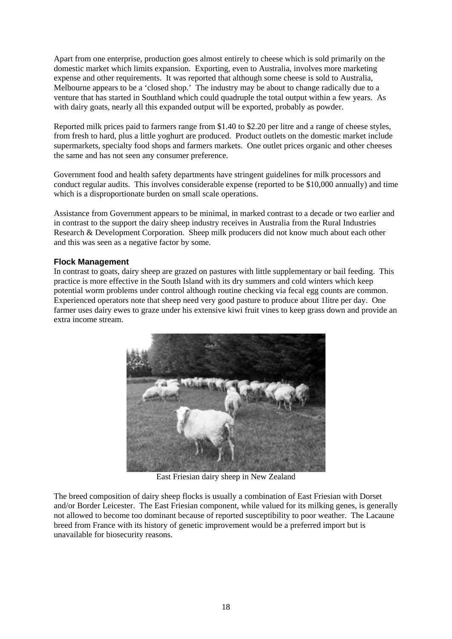Apart from one enterprise, production goes almost entirely to cheese which is sold primarily on the domestic market which limits expansion. Exporting, even to Australia, involves more marketing expense and other requirements. It was reported that although some cheese is sold to Australia, Melbourne appears to be a 'closed shop.' The industry may be about to change radically due to a venture that has started in Southland which could quadruple the total output within a few years. As with dairy goats, nearly all this expanded output will be exported, probably as powder.

Reported milk prices paid to farmers range from \$1.40 to \$2.20 per litre and a range of cheese styles, from fresh to hard, plus a little yoghurt are produced. Product outlets on the domestic market include supermarkets, specialty food shops and farmers markets. One outlet prices organic and other cheeses the same and has not seen any consumer preference.

Government food and health safety departments have stringent guidelines for milk processors and conduct regular audits. This involves considerable expense (reported to be \$10,000 annually) and time which is a disproportionate burden on small scale operations.

Assistance from Government appears to be minimal, in marked contrast to a decade or two earlier and in contrast to the support the dairy sheep industry receives in Australia from the Rural Industries Research & Development Corporation. Sheep milk producers did not know much about each other and this was seen as a negative factor by some.

#### **Flock Management**

In contrast to goats, dairy sheep are grazed on pastures with little supplementary or bail feeding. This practice is more effective in the South Island with its dry summers and cold winters which keep potential worm problems under control although routine checking via fecal egg counts are common. Experienced operators note that sheep need very good pasture to produce about 1litre per day. One farmer uses dairy ewes to graze under his extensive kiwi fruit vines to keep grass down and provide an extra income stream.



East Friesian dairy sheep in New Zealand

The breed composition of dairy sheep flocks is usually a combination of East Friesian with Dorset and/or Border Leicester. The East Friesian component, while valued for its milking genes, is generally not allowed to become too dominant because of reported susceptibility to poor weather. The Lacaune breed from France with its history of genetic improvement would be a preferred import but is unavailable for biosecurity reasons.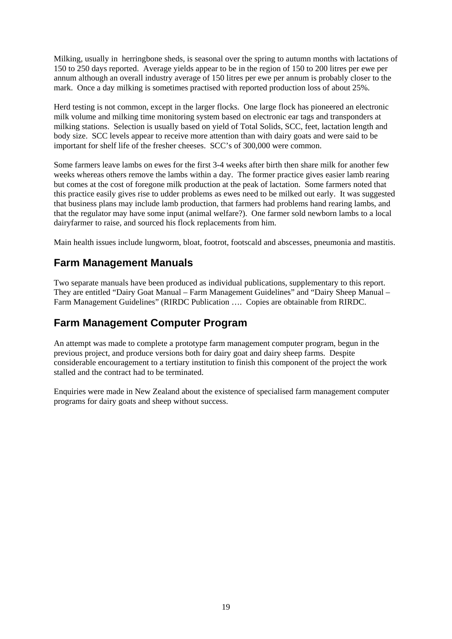Milking, usually in herringbone sheds, is seasonal over the spring to autumn months with lactations of 150 to 250 days reported. Average yields appear to be in the region of 150 to 200 litres per ewe per annum although an overall industry average of 150 litres per ewe per annum is probably closer to the mark. Once a day milking is sometimes practised with reported production loss of about 25%.

Herd testing is not common, except in the larger flocks. One large flock has pioneered an electronic milk volume and milking time monitoring system based on electronic ear tags and transponders at milking stations. Selection is usually based on yield of Total Solids, SCC, feet, lactation length and body size. SCC levels appear to receive more attention than with dairy goats and were said to be important for shelf life of the fresher cheeses. SCC's of 300,000 were common.

Some farmers leave lambs on ewes for the first 3-4 weeks after birth then share milk for another few weeks whereas others remove the lambs within a day. The former practice gives easier lamb rearing but comes at the cost of foregone milk production at the peak of lactation. Some farmers noted that this practice easily gives rise to udder problems as ewes need to be milked out early. It was suggested that business plans may include lamb production, that farmers had problems hand rearing lambs, and that the regulator may have some input (animal welfare?). One farmer sold newborn lambs to a local dairyfarmer to raise, and sourced his flock replacements from him.

Main health issues include lungworm, bloat, footrot, footscald and abscesses, pneumonia and mastitis.

### **Farm Management Manuals**

Two separate manuals have been produced as individual publications, supplementary to this report. They are entitled "Dairy Goat Manual – Farm Management Guidelines" and "Dairy Sheep Manual – Farm Management Guidelines" (RIRDC Publication …. Copies are obtainable from RIRDC.

### **Farm Management Computer Program**

An attempt was made to complete a prototype farm management computer program, begun in the previous project, and produce versions both for dairy goat and dairy sheep farms. Despite considerable encouragement to a tertiary institution to finish this component of the project the work stalled and the contract had to be terminated.

Enquiries were made in New Zealand about the existence of specialised farm management computer programs for dairy goats and sheep without success.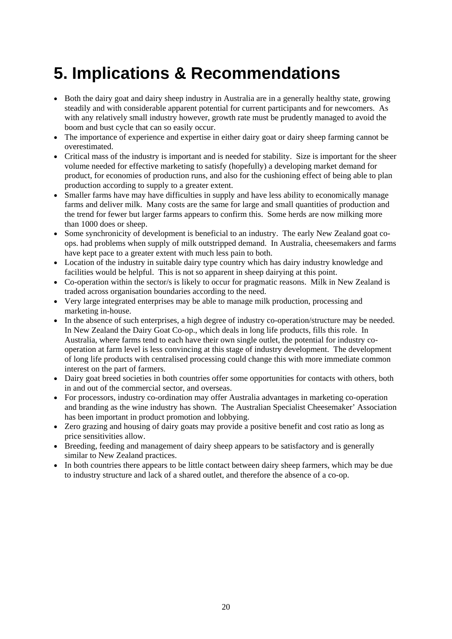### <span id="page-31-0"></span>**5. Implications & Recommendations**

- Both the dairy goat and dairy sheep industry in Australia are in a generally healthy state, growing steadily and with considerable apparent potential for current participants and for newcomers. As with any relatively small industry however, growth rate must be prudently managed to avoid the boom and bust cycle that can so easily occur.
- The importance of experience and expertise in either dairy goat or dairy sheep farming cannot be overestimated.
- Critical mass of the industry is important and is needed for stability. Size is important for the sheer volume needed for effective marketing to satisfy (hopefully) a developing market demand for product, for economies of production runs, and also for the cushioning effect of being able to plan production according to supply to a greater extent.
- Smaller farms have may have difficulties in supply and have less ability to economically manage farms and deliver milk. Many costs are the same for large and small quantities of production and the trend for fewer but larger farms appears to confirm this. Some herds are now milking more than 1000 does or sheep.
- Some synchronicity of development is beneficial to an industry. The early New Zealand goat coops. had problems when supply of milk outstripped demand. In Australia, cheesemakers and farms have kept pace to a greater extent with much less pain to both.
- Location of the industry in suitable dairy type country which has dairy industry knowledge and facilities would be helpful. This is not so apparent in sheep dairying at this point.
- Co-operation within the sector/s is likely to occur for pragmatic reasons. Milk in New Zealand is traded across organisation boundaries according to the need.
- Very large integrated enterprises may be able to manage milk production, processing and marketing in-house.
- In the absence of such enterprises, a high degree of industry co-operation/structure may be needed. In New Zealand the Dairy Goat Co-op., which deals in long life products, fills this role. In Australia, where farms tend to each have their own single outlet, the potential for industry cooperation at farm level is less convincing at this stage of industry development. The development of long life products with centralised processing could change this with more immediate common interest on the part of farmers.
- Dairy goat breed societies in both countries offer some opportunities for contacts with others, both in and out of the commercial sector, and overseas.
- For processors, industry co-ordination may offer Australia advantages in marketing co-operation and branding as the wine industry has shown. The Australian Specialist Cheesemaker' Association has been important in product promotion and lobbying.
- Zero grazing and housing of dairy goats may provide a positive benefit and cost ratio as long as price sensitivities allow.
- Breeding, feeding and management of dairy sheep appears to be satisfactory and is generally similar to New Zealand practices.
- In both countries there appears to be little contact between dairy sheep farmers, which may be due to industry structure and lack of a shared outlet, and therefore the absence of a co-op.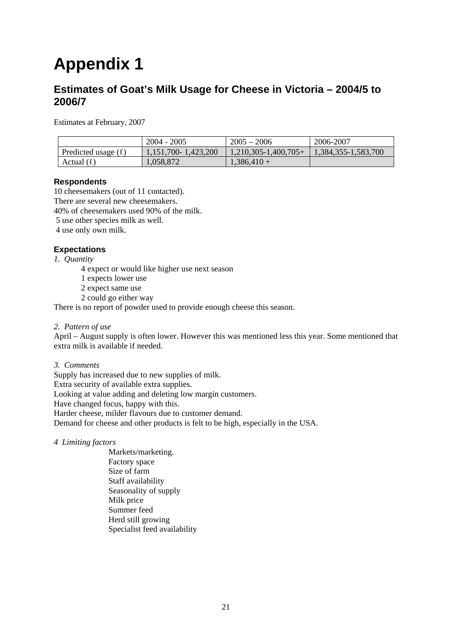# <span id="page-32-0"></span>**Appendix 1**

#### **Estimates of Goat's Milk Usage for Cheese in Victoria – 2004/5 to 2006/7**

Estimates at February, 2007

|                          | $2004 - 2005$           | $2005 - 2006$             | 2006-2007           |
|--------------------------|-------------------------|---------------------------|---------------------|
| Predicted usage $(\ell)$ | $1,151,700 - 1,423,200$ | $1,210,305 - 1,400,705 +$ | 1,384,355-1,583,700 |
| Actual $(\ell)$          | 1,058,872               | $1,386,410+$              |                     |

#### **Respondents**

10 cheesemakers (out of 11 contacted).

There are several new cheesemakers.

40% of cheesemakers used 90% of the milk.

5 use other species milk as well.

4 use only own milk.

#### **Expectations**

*1. Quantity* 

4 expect or would like higher use next season

1 expects lower use

2 expect same use

2 could go either way

There is no report of powder used to provide enough cheese this season.

#### *2. Pattern of use*

April – August supply is often lower. However this was mentioned less this year. Some mentioned that extra milk is available if needed.

#### *3. Comments*

Supply has increased due to new supplies of milk. Extra security of available extra supplies. Looking at value adding and deleting low margin customers. Have changed focus, happy with this. Harder cheese, milder flavours due to customer demand. Demand for cheese and other products is felt to be high, especially in the USA.

- *4 Limiting factors*
	- Markets/marketing. Factory space Size of farm Staff availability Seasonality of supply Milk price Summer feed Herd still growing Specialist feed availability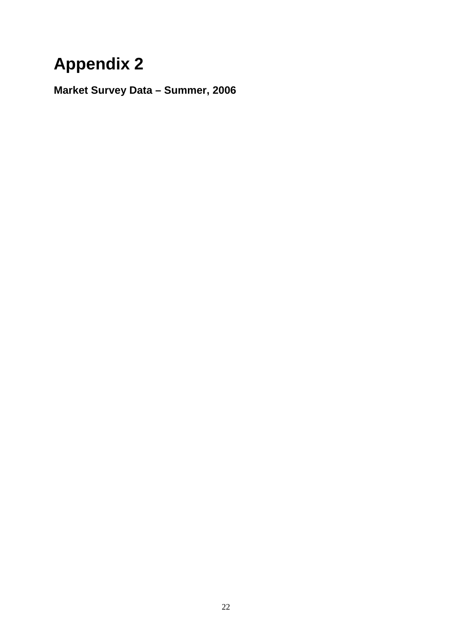# <span id="page-33-0"></span>**Appendix 2**

**Market Survey Data – Summer, 2006**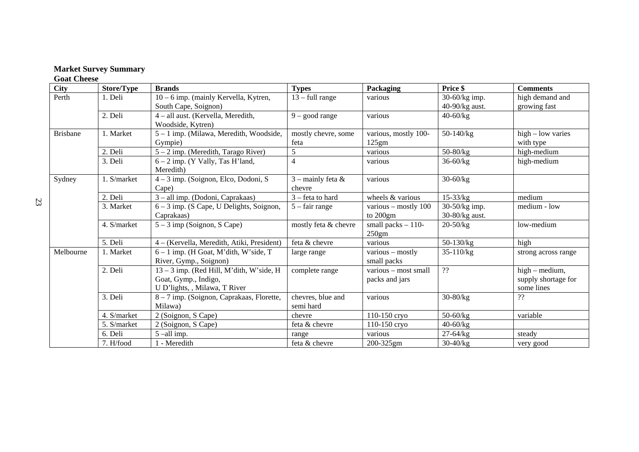#### **Market Survey Summary**

#### **Goat Cheese**

| <b>City</b>     | Store/Type  | <b>Brands</b>                              | <b>Types</b>           | Packaging              | Price \$       | <b>Comments</b>        |
|-----------------|-------------|--------------------------------------------|------------------------|------------------------|----------------|------------------------|
| Perth           | 1. Deli     | 10 – 6 imp. (mainly Kervella, Kytren,      | $13 - full range$      | various                | 30-60/kg imp.  | high demand and        |
|                 |             | South Cape, Soignon)                       |                        |                        | 40-90/kg aust. | growing fast           |
|                 | 2. Deli     | 4 - all aust. (Kervella, Meredith,         | $9 - good range$       | various                | $40 - 60/kg$   |                        |
|                 |             | Woodside, Kytren)                          |                        |                        |                |                        |
| <b>Brisbane</b> | 1. Market   | 5 - 1 imp. (Milawa, Meredith, Woodside,    | mostly chevre, some    | various, mostly 100-   | 50-140/kg      | $high - low \, varies$ |
|                 |             | Gympie)                                    | feta                   | 125gm                  |                | with type              |
|                 | 2. Deli     | 5 – 2 imp. (Meredith, Tarago River)        | 5                      | various                | $50 - 80/kg$   | high-medium            |
|                 | 3. Deli     | $6 - 2$ imp. (Y Vally, Tas H'land,         | $\overline{4}$         | various                | $36 - 60/kg$   | high-medium            |
|                 |             | Meredith)                                  |                        |                        |                |                        |
| Sydney          | 1. S/market | $4-3$ imp. (Soignon, Elco, Dodoni, S       | $3$ – mainly feta $\&$ | various                | $30 - 60/kg$   |                        |
|                 |             | Cape)                                      | chevre                 |                        |                |                        |
|                 | 2. Deli     | 3 – all imp. (Dodoni, Caprakaas)           | $3$ – feta to hard     | wheels $&$ various     | $15 - 33/kg$   | medium                 |
|                 | 3. Market   | $6 - 3$ imp. (S Cape, U Delights, Soignon, | $5 - fair range$       | various – mostly $100$ | 30-50/kg imp.  | medium - low           |
|                 |             | Caprakaas)                                 |                        | to $200gm$             | 30-80/kg aust. |                        |
|                 | 4. S/market | $5 - 3$ imp (Soignon, S Cape)              | mostly feta & chevre   | small packs $-110$ -   | $20 - 50/kg$   | low-medium             |
|                 |             |                                            |                        | 250gm                  |                |                        |
|                 | 5. Deli     | 4 – (Kervella, Meredith, Atiki, President) | feta & chevre          | various                | $50-130/kg$    | high                   |
| Melbourne       | 1. Market   | $6 - 1$ imp. (H Goat, M'dith, W'side, T    | large range            | various - mostly       | 35-110/kg      | strong across range    |
|                 |             | River, Gymp., Soignon)                     |                        | small packs            |                |                        |
|                 | 2. Deli     | 13 - 3 imp. (Red Hill, M'dith, W'side, H   | complete range         | various - most small   | $\mathbf{??}$  | $high - medium$ ,      |
|                 |             | Goat, Gymp., Indigo,                       |                        | packs and jars         |                | supply shortage for    |
|                 |             | U D'lights, , Milawa, T River              |                        |                        |                | some lines             |
|                 | 3. Deli     | 8 - 7 imp. (Soignon, Caprakaas, Florette,  | chevres, blue and      | various                | $30 - 80/kg$   | ??                     |
|                 |             | Milawa)                                    | semi hard              |                        |                |                        |
|                 | 4. S/market | 2 (Soignon, S Cape)                        | chevre                 | 110-150 cryo           | $50 - 60/kg$   | variable               |
|                 | 5. S/market | 2 (Soignon, S Cape)                        | feta & chevre          | $110 - 150$ cryo       | $40 - 60/kg$   |                        |
|                 | 6. Deli     | $5$ -all imp.                              | range                  | various                | $27 - 64/kg$   | steady                 |
|                 | 7. H/food   | 1 - Meredith                               | feta & chevre          | 200-325gm              | $30-40$ /kg    | very good              |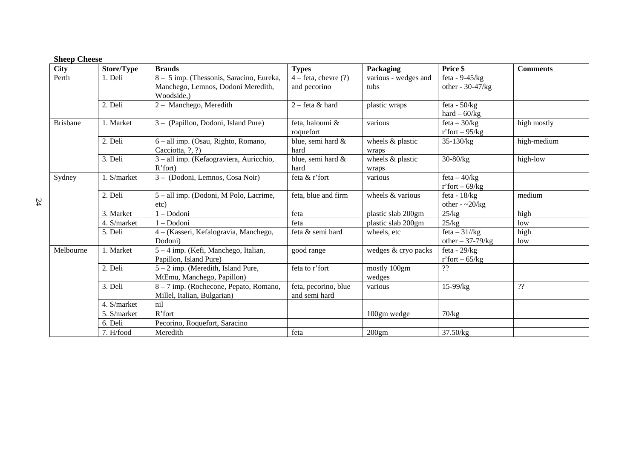#### **Sheep Cheese**

| <b>City</b>     | <b>Store/Type</b> | <b>Brands</b>                            | <b>Types</b>             | Packaging            | Price \$                | <b>Comments</b> |
|-----------------|-------------------|------------------------------------------|--------------------------|----------------------|-------------------------|-----------------|
| Perth           | 1. Deli           | 8 - 5 imp. (Thessonis, Saracino, Eureka, | $4$ – feta, chevre $(?)$ | various - wedges and | feta - $9-45/kg$        |                 |
|                 |                   | Manchego, Lemnos, Dodoni Meredith,       | and pecorino             | tubs                 | other - 30-47/kg        |                 |
|                 |                   | Woodside,)                               |                          |                      |                         |                 |
|                 | 2. Deli           | 2 - Manchego, Meredith                   | $2$ – feta & hard        | plastic wraps        | feta - $50/kg$          |                 |
|                 |                   |                                          |                          |                      | hard $-60/kg$           |                 |
| <b>Brisbane</b> | 1. Market         | 3 - (Papillon, Dodoni, Island Pure)      | feta, haloumi &          | various              | $feta - 30/kg$          | high mostly     |
|                 |                   |                                          | roquefort                |                      | r'fort – $95/kg$        |                 |
|                 | 2. Deli           | 6 - all imp. (Osau, Righto, Romano,      | blue, semi hard &        | wheels & plastic     | $35-130/kg$             | high-medium     |
|                 |                   | Cacciotta, ?, ?)                         | hard                     | wraps                |                         |                 |
|                 | 3. Deli           | 3 - all imp. (Kefaograviera, Auricchio,  | blue, semi hard &        | wheels & plastic     | $30 - 80/kg$            | high-low        |
|                 |                   | $R'$ fort)                               | hard                     | wraps                |                         |                 |
| Sydney          | 1. S/market       | 3 - (Dodoni, Lemnos, Cosa Noir)          | feta & r'fort            | various              | $feta - 40/kg$          |                 |
|                 |                   |                                          |                          |                      | r'fort – 69/kg          |                 |
|                 | 2. Deli           | 5 – all imp. (Dodoni, M Polo, Lacrime,   | feta, blue and firm      | wheels & various     | feta - $18/kg$          | medium          |
|                 |                   | etc)                                     |                          |                      | other - $\approx 20/kg$ |                 |
|                 | 3. Market         | 1 - Dodoni                               | feta                     | plastic slab 200gm   | 25/kg                   | high            |
|                 | 4. S/market       | 1 - Dodoni                               | feta                     | plastic slab 200gm   | 25/kg                   | low             |
|                 | 5. Deli           | 4 – (Kasseri, Kefalogravia, Manchego,    | feta & semi hard         | wheels, etc          | feta $-31/\text{kg}$    | high            |
|                 |                   | Dodoni)                                  |                          |                      | other $-37-79$ /kg      | low             |
| Melbourne       | 1. Market         | 5 – 4 imp. (Kefi, Manchego, Italian,     | good range               | wedges & cryo packs  | feta - $29/kg$          |                 |
|                 |                   | Papillon, Island Pure)                   |                          |                      | r'fort – $65/kg$        |                 |
|                 | 2. Deli           | $5 - 2$ imp. (Meredith, Island Pure,     | feta to r'fort           | mostly 100gm         | ??                      |                 |
|                 |                   | MtEmu, Manchego, Papillon)               |                          | wedges               |                         |                 |
|                 | 3. Deli           | 8 – 7 imp. (Rochecone, Pepato, Romano,   | feta, pecorino, blue     | various              | 15-99/kg                | ??              |
|                 |                   | Millel, Italian, Bulgarian)              | and semi hard            |                      |                         |                 |
|                 | 4. S/market       | nil                                      |                          |                      |                         |                 |
|                 | 5. S/market       | R'fort                                   |                          | 100gm wedge          | 70/kg                   |                 |
|                 | 6. Deli           | Pecorino, Roquefort, Saracino            |                          |                      |                         |                 |
|                 | 7. H/food         | Meredith                                 | feta                     | 200gm                | 37.50/kg                |                 |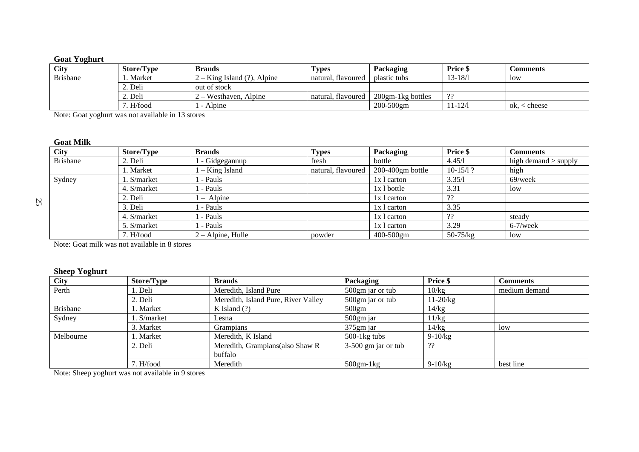#### **Goat Yoghurt**

| <b>City</b>     | Store/Type      | <b>Brands</b>                         | <b>Types</b>       | Packaging                | <b>Price</b> \$ | <b>Comments</b> |
|-----------------|-----------------|---------------------------------------|--------------------|--------------------------|-----------------|-----------------|
| <b>Brisbane</b> | Market          | $2 -$ King Island $(?)$ .<br>. Alpine | natural, flavoured | l plastic tubs           | $13 - 18/1$     | <b>low</b>      |
|                 | $\angle$ . Deli | out of stock                          |                    |                          |                 |                 |
|                 | $\angle$ . Deli | 2 – Westhaven, Alpine                 | natural, flavoured | $200$ gm-1 $k$ g bottles | າາ              |                 |
|                 | H/food          | Alpine                                |                    | $200 - 500$ gm           | $11 - 12/1$     | ≤ cheese<br>OK. |

Note: Goat yoghurt was not available in 13 stores

#### **Goat Milk**

| <b>City</b>     | <b>Store/Type</b> | <b>Brands</b>       | <b>Types</b>       | Packaging           | Price \$     | <b>Comments</b>        |
|-----------------|-------------------|---------------------|--------------------|---------------------|--------------|------------------------|
| <b>Brisbane</b> | 2. Deli           | - Gidgegannup       | fresh              | bottle              | 4.45/1       | high demand $>$ supply |
|                 | . Market          | - King Island       | natural, flavoured | $200-400$ gm bottle | $10-15/1?$   | high                   |
| Sydney          | . S/market        | - Pauls             |                    | 1x 1 carton         | 3.35/1       | $69$ /week             |
|                 | 4. S/market       | - Pauls             |                    | $1x 1$ bottle       | 3.31         | low                    |
|                 | 2. Deli           | $-$ Alpine          |                    | 1x 1 carton         | -??          |                        |
|                 | 3. Deli           | - Pauls             |                    | 1x 1 carton         | 3.35         |                        |
|                 | 4. S/market       | - Pauls             |                    | 1x 1 carton         | ??           | steady                 |
|                 | 5. S/market       | - Pauls             |                    | 1x 1 carton         | 3.29         | $6-7$ /week            |
|                 | 7. H/food         | $2 -$ Alpine, Hulle | powder             | $400 - 500$ gm      | $50 - 75/kg$ | low                    |

Note: Goat milk was not available in 8 stores

#### **Sheep Yoghurt**

| <b>City</b>     | <b>Store/Type</b> | <b>Brands</b>                       | Packaging             | Price \$    | <b>Comments</b> |
|-----------------|-------------------|-------------------------------------|-----------------------|-------------|-----------------|
| Perth           | l. Deli           | Meredith, Island Pure               | 500gm jar or tub      | 10/kg       | medium demand   |
|                 | 2. Deli           | Meredith, Island Pure, River Valley | 500gm jar or tub      | 11-20/kg    |                 |
| <b>Brisbane</b> | . Market          | K Island $(?)$                      | 500gm                 | 14/kg       |                 |
| Sydney          | l. S/market       | Lesna                               | 500gm jar             | 1/kg        |                 |
|                 | 3. Market         | <b>Grampians</b>                    | 375gm jar             | 14/kg       | low             |
| Melbourne       | l. Market         | Meredith, K Island                  | $500-1$ kg tubs       | $9 - 10/kg$ |                 |
|                 | 2. Deli           | Meredith, Grampians (also Shaw R    | $3-500$ gm jar or tub | ??          |                 |
|                 |                   | buffalo                             |                       |             |                 |
|                 | 7. H/food         | Meredith                            | $500gm-1kg$           | $9-10/kg$   | best line       |

Note: Sheep yoghurt was not available in 9 stores